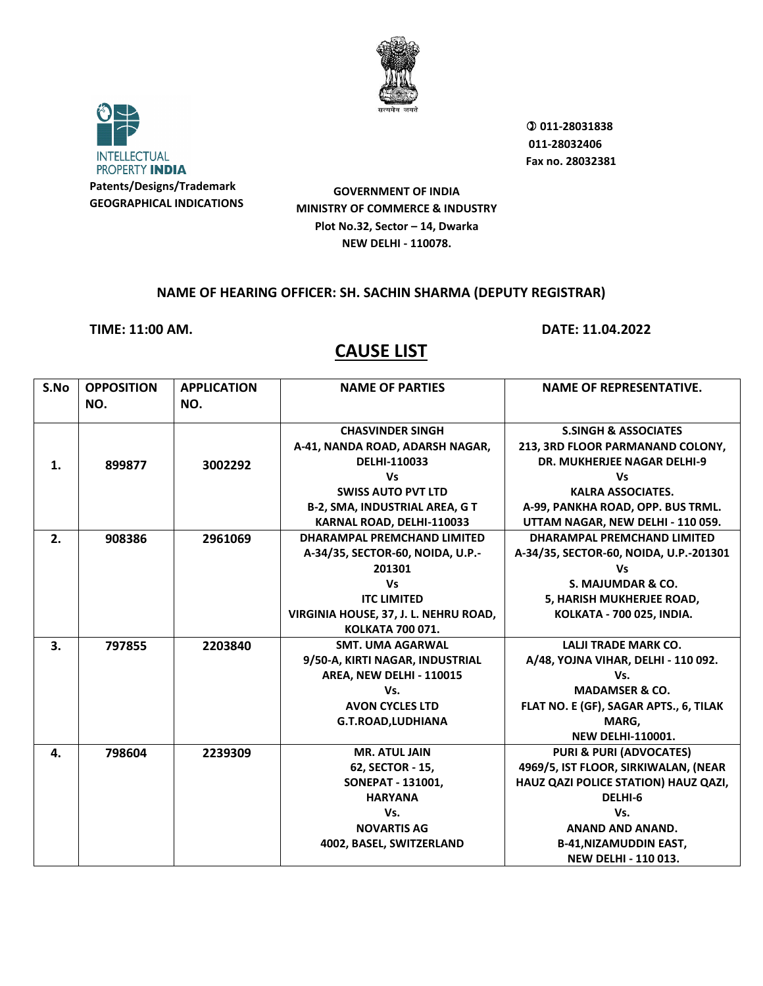



 **011-28031838 011-28032406 Fax no. 28032381**

**GOVERNMENT OF INDIA MINISTRY OF COMMERCE & INDUSTRY Plot No.32, Sector – 14, Dwarka NEW DELHI - 110078.**

#### **NAME OF HEARING OFFICER: SH. SACHIN SHARMA (DEPUTY REGISTRAR)**

**TIME: 11:00 AM. DATE: 11.04.2022**

| S.No | <b>OPPOSITION</b> | <b>APPLICATION</b> | <b>NAME OF PARTIES</b>                | <b>NAME OF REPRESENTATIVE.</b>         |
|------|-------------------|--------------------|---------------------------------------|----------------------------------------|
|      | NO.               | NO.                |                                       |                                        |
|      |                   |                    | <b>CHASVINDER SINGH</b>               | <b>S.SINGH &amp; ASSOCIATES</b>        |
|      |                   |                    | A-41, NANDA ROAD, ADARSH NAGAR,       | 213, 3RD FLOOR PARMANAND COLONY,       |
| 1.   | 899877            | 3002292            | DELHI-110033                          | <b>DR. MUKHERJEE NAGAR DELHI-9</b>     |
|      |                   |                    | <b>Vs</b>                             | Vs                                     |
|      |                   |                    | <b>SWISS AUTO PVT LTD</b>             | <b>KALRA ASSOCIATES.</b>               |
|      |                   |                    | <b>B-2, SMA, INDUSTRIAL AREA, G T</b> | A-99, PANKHA ROAD, OPP. BUS TRML.      |
|      |                   |                    | KARNAL ROAD, DELHI-110033             | UTTAM NAGAR, NEW DELHI - 110 059.      |
| 2.   | 908386            | 2961069            | <b>DHARAMPAL PREMCHAND LIMITED</b>    | DHARAMPAL PREMCHAND LIMITED            |
|      |                   |                    | A-34/35, SECTOR-60, NOIDA, U.P.-      | A-34/35, SECTOR-60, NOIDA, U.P.-201301 |
|      |                   |                    | 201301                                | Vs                                     |
|      |                   |                    | <b>Vs</b>                             | S. MAJUMDAR & CO.                      |
|      |                   |                    | <b>ITC LIMITED</b>                    | 5, HARISH MUKHERJEE ROAD,              |
|      |                   |                    | VIRGINIA HOUSE, 37, J. L. NEHRU ROAD, | KOLKATA - 700 025, INDIA.              |
|      |                   |                    | <b>KOLKATA 700 071.</b>               |                                        |
| 3.   | 797855            | 2203840            | <b>SMT. UMA AGARWAL</b>               | <b>LALJI TRADE MARK CO.</b>            |
|      |                   |                    | 9/50-A, KIRTI NAGAR, INDUSTRIAL       | A/48, YOJNA VIHAR, DELHI - 110 092.    |
|      |                   |                    | AREA, NEW DELHI - 110015              | Vs.                                    |
|      |                   |                    | Vs.                                   | <b>MADAMSER &amp; CO.</b>              |
|      |                   |                    | <b>AVON CYCLES LTD</b>                | FLAT NO. E (GF), SAGAR APTS., 6, TILAK |
|      |                   |                    | <b>G.T.ROAD,LUDHIANA</b>              | MARG,                                  |
|      |                   |                    |                                       | <b>NEW DELHI-110001.</b>               |
| 4.   | 798604            | 2239309            | <b>MR. ATUL JAIN</b>                  | <b>PURI &amp; PURI (ADVOCATES)</b>     |
|      |                   |                    | 62, SECTOR - 15,                      | 4969/5, IST FLOOR, SIRKIWALAN, (NEAR   |
|      |                   |                    | SONEPAT - 131001,                     | HAUZ QAZI POLICE STATION) HAUZ QAZI,   |
|      |                   |                    | <b>HARYANA</b>                        | DELHI-6                                |
|      |                   |                    | Vs.                                   | Vs.                                    |
|      |                   |                    | <b>NOVARTIS AG</b>                    | <b>ANAND AND ANAND.</b>                |
|      |                   |                    | 4002, BASEL, SWITZERLAND              | <b>B-41, NIZAMUDDIN EAST,</b>          |
|      |                   |                    |                                       | <b>NEW DELHI - 110 013.</b>            |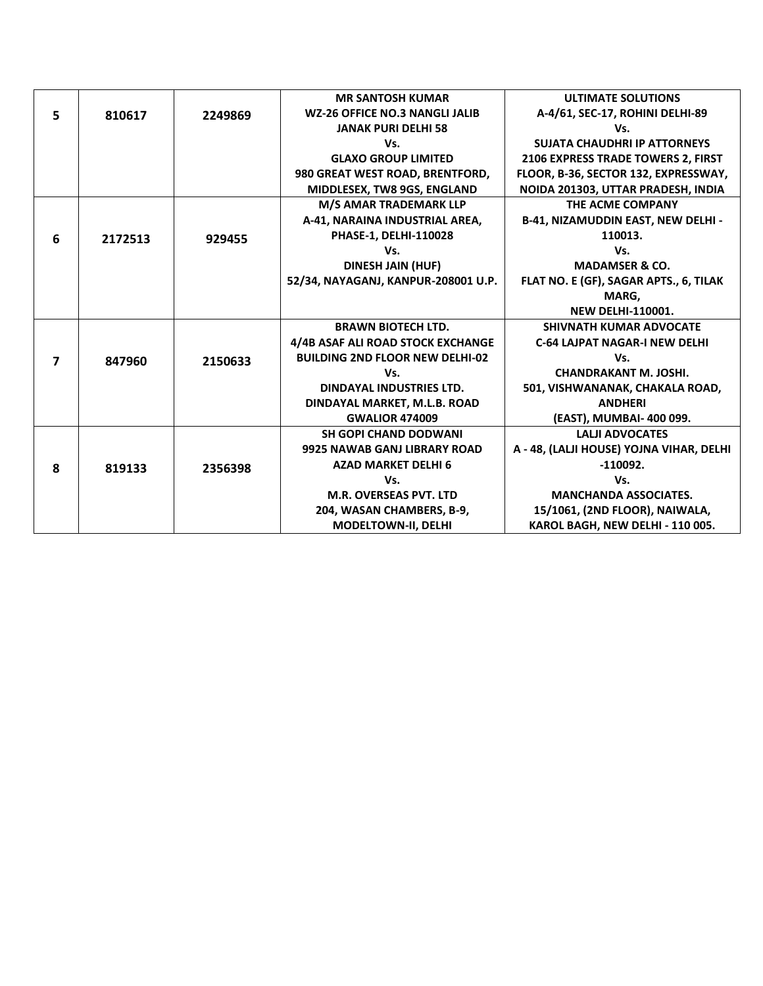|   |         |         | <b>MR SANTOSH KUMAR</b>                | <b>ULTIMATE SOLUTIONS</b>                |
|---|---------|---------|----------------------------------------|------------------------------------------|
| 5 | 810617  | 2249869 | <b>WZ-26 OFFICE NO.3 NANGLI JALIB</b>  | A-4/61, SEC-17, ROHINI DELHI-89          |
|   |         |         | <b>JANAK PURI DELHI 58</b>             | Vs.                                      |
|   |         |         | Vs.                                    | <b>SUJATA CHAUDHRI IP ATTORNEYS</b>      |
|   |         |         | <b>GLAXO GROUP LIMITED</b>             | 2106 EXPRESS TRADE TOWERS 2, FIRST       |
|   |         |         | 980 GREAT WEST ROAD, BRENTFORD,        | FLOOR, B-36, SECTOR 132, EXPRESSWAY,     |
|   |         |         | MIDDLESEX, TW8 9GS, ENGLAND            | NOIDA 201303, UTTAR PRADESH, INDIA       |
|   |         |         | M/S AMAR TRADEMARK LLP                 | THE ACME COMPANY                         |
|   |         |         | A-41, NARAINA INDUSTRIAL AREA,         | B-41, NIZAMUDDIN EAST, NEW DELHI -       |
| 6 | 2172513 | 929455  | PHASE-1, DELHI-110028                  | 110013.                                  |
|   |         |         | Vs.                                    | Vs.                                      |
|   |         |         | <b>DINESH JAIN (HUF)</b>               | <b>MADAMSER &amp; CO.</b>                |
|   |         |         | 52/34, NAYAGANJ, KANPUR-208001 U.P.    | FLAT NO. E (GF), SAGAR APTS., 6, TILAK   |
|   |         |         |                                        | MARG,                                    |
|   |         |         |                                        | <b>NEW DELHI-110001.</b>                 |
|   |         |         | <b>BRAWN BIOTECH LTD.</b>              | <b>SHIVNATH KUMAR ADVOCATE</b>           |
|   |         |         | 4/4B ASAF ALI ROAD STOCK EXCHANGE      | <b>C-64 LAJPAT NAGAR-I NEW DELHI</b>     |
| 7 | 847960  | 2150633 | <b>BUILDING 2ND FLOOR NEW DELHI-02</b> | Vs.                                      |
|   |         |         | Vs.                                    | <b>CHANDRAKANT M. JOSHI.</b>             |
|   |         |         | DINDAYAL INDUSTRIES LTD.               | 501, VISHWANANAK, CHAKALA ROAD,          |
|   |         |         | DINDAYAL MARKET, M.L.B. ROAD           | <b>ANDHERI</b>                           |
|   |         |         | <b>GWALIOR 474009</b>                  | (EAST), MUMBAI- 400 099.                 |
|   |         |         | <b>SH GOPI CHAND DODWANI</b>           | <b>LALII ADVOCATES</b>                   |
|   |         |         | 9925 NAWAB GANJ LIBRARY ROAD           | A - 48, (LALJI HOUSE) YOJNA VIHAR, DELHI |
| 8 | 819133  | 2356398 | <b>AZAD MARKET DELHI 6</b>             | $-110092.$                               |
|   |         |         | Vs.                                    | Vs.                                      |
|   |         |         | <b>M.R. OVERSEAS PVT. LTD</b>          | <b>MANCHANDA ASSOCIATES.</b>             |
|   |         |         | 204, WASAN CHAMBERS, B-9,              | 15/1061, (2ND FLOOR), NAIWALA,           |
|   |         |         | MODELTOWN-II, DELHI                    | KAROL BAGH, NEW DELHI - 110 005.         |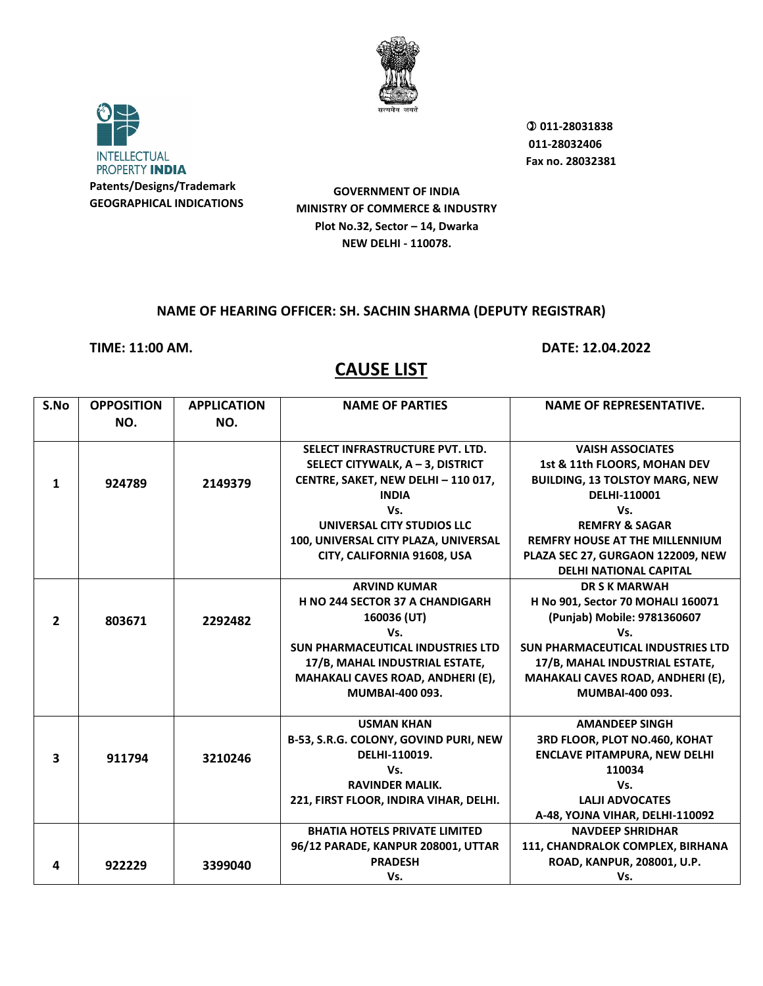



 **011-28031838 011-28032406 Fax no. 28032381**

**GOVERNMENT OF INDIA MINISTRY OF COMMERCE & INDUSTRY Plot No.32, Sector – 14, Dwarka NEW DELHI - 110078.**

#### **NAME OF HEARING OFFICER: SH. SACHIN SHARMA (DEPUTY REGISTRAR)**

**TIME: 11:00 AM. DATE: 12.04.2022**

| S.No           | <b>OPPOSITION</b><br>NO. | <b>APPLICATION</b><br>NO. | <b>NAME OF PARTIES</b>                   | <b>NAME OF REPRESENTATIVE.</b>           |
|----------------|--------------------------|---------------------------|------------------------------------------|------------------------------------------|
|                |                          |                           |                                          |                                          |
|                |                          |                           | SELECT INFRASTRUCTURE PVT. LTD.          | <b>VAISH ASSOCIATES</b>                  |
|                |                          |                           | SELECT CITYWALK, A - 3, DISTRICT         | 1st & 11th FLOORS, MOHAN DEV             |
| 1              | 924789                   | 2149379                   | CENTRE, SAKET, NEW DELHI - 110 017,      | <b>BUILDING, 13 TOLSTOY MARG, NEW</b>    |
|                |                          |                           | <b>INDIA</b>                             | DELHI-110001                             |
|                |                          |                           | Vs.                                      | Vs.                                      |
|                |                          |                           | UNIVERSAL CITY STUDIOS LLC               | <b>REMFRY &amp; SAGAR</b>                |
|                |                          |                           | 100, UNIVERSAL CITY PLAZA, UNIVERSAL     | <b>REMFRY HOUSE AT THE MILLENNIUM</b>    |
|                |                          |                           | CITY, CALIFORNIA 91608, USA              | PLAZA SEC 27, GURGAON 122009, NEW        |
|                |                          |                           |                                          | <b>DELHI NATIONAL CAPITAL</b>            |
|                |                          |                           | <b>ARVIND KUMAR</b>                      | <b>DR S K MARWAH</b>                     |
|                |                          |                           | H NO 244 SECTOR 37 A CHANDIGARH          | H No 901, Sector 70 MOHALI 160071        |
| $\overline{2}$ | 803671                   | 2292482                   | 160036 (UT)                              | (Punjab) Mobile: 9781360607              |
|                |                          |                           | Vs.                                      | Vs.                                      |
|                |                          |                           | <b>SUN PHARMACEUTICAL INDUSTRIES LTD</b> | <b>SUN PHARMACEUTICAL INDUSTRIES LTD</b> |
|                |                          |                           | 17/B, MAHAL INDUSTRIAL ESTATE,           | 17/B, MAHAL INDUSTRIAL ESTATE,           |
|                |                          |                           | MAHAKALI CAVES ROAD, ANDHERI (E),        | MAHAKALI CAVES ROAD, ANDHERI (E),        |
|                |                          |                           | MUMBAI-400 093.                          | MUMBAI-400 093.                          |
|                |                          |                           | <b>USMAN KHAN</b>                        | <b>AMANDEEP SINGH</b>                    |
|                |                          |                           | B-53, S.R.G. COLONY, GOVIND PURI, NEW    | 3RD FLOOR, PLOT NO.460, KOHAT            |
| 3              | 911794                   | 3210246                   | DELHI-110019.                            | <b>ENCLAVE PITAMPURA, NEW DELHI</b>      |
|                |                          |                           | Vs.                                      | 110034                                   |
|                |                          |                           | <b>RAVINDER MALIK.</b>                   | Vs.                                      |
|                |                          |                           | 221, FIRST FLOOR, INDIRA VIHAR, DELHI.   | <b>LALII ADVOCATES</b>                   |
|                |                          |                           |                                          | A-48, YOJNA VIHAR, DELHI-110092          |
|                |                          |                           | <b>BHATIA HOTELS PRIVATE LIMITED</b>     | <b>NAVDEEP SHRIDHAR</b>                  |
|                |                          |                           | 96/12 PARADE, KANPUR 208001, UTTAR       | 111, CHANDRALOK COMPLEX, BIRHANA         |
| 4              | 922229                   | 3399040                   | <b>PRADESH</b>                           | ROAD, KANPUR, 208001, U.P.               |
|                |                          |                           | Vs.                                      | Vs.                                      |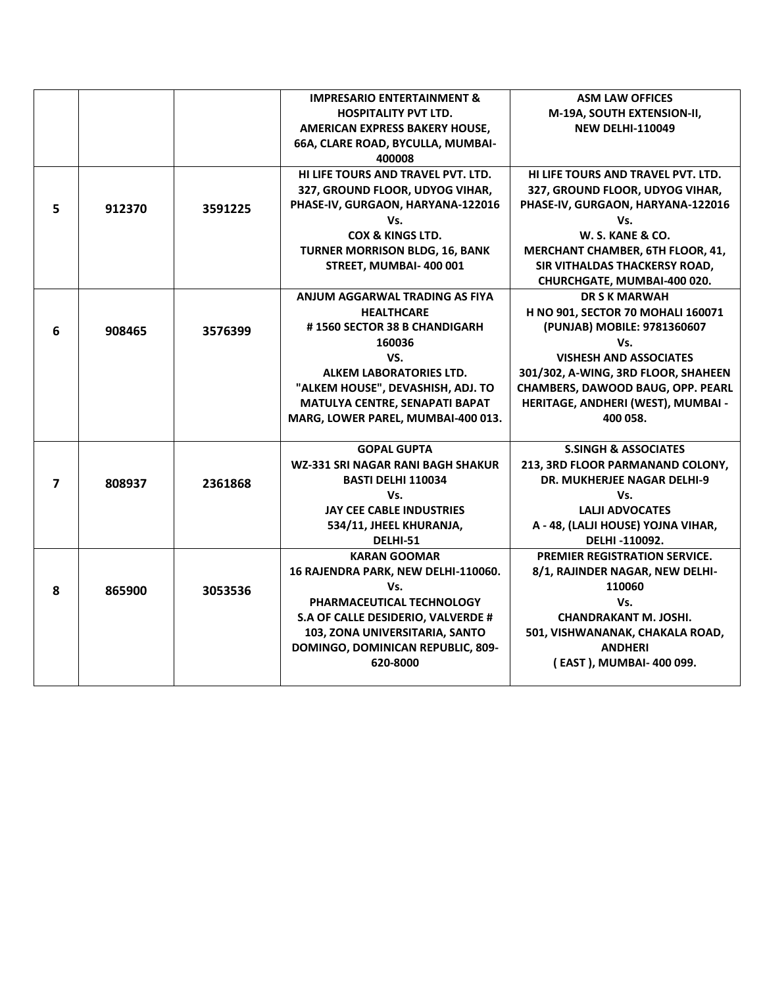|   |        |         | <b>IMPRESARIO ENTERTAINMENT &amp;</b> | <b>ASM LAW OFFICES</b>              |
|---|--------|---------|---------------------------------------|-------------------------------------|
|   |        |         | <b>HOSPITALITY PVT LTD.</b>           | M-19A, SOUTH EXTENSION-II,          |
|   |        |         | AMERICAN EXPRESS BAKERY HOUSE,        | <b>NEW DELHI-110049</b>             |
|   |        |         | 66A, CLARE ROAD, BYCULLA, MUMBAI-     |                                     |
|   |        |         | 400008                                |                                     |
|   |        |         | HI LIFE TOURS AND TRAVEL PVT. LTD.    | HI LIFE TOURS AND TRAVEL PVT. LTD.  |
|   |        |         | 327, GROUND FLOOR, UDYOG VIHAR,       | 327, GROUND FLOOR, UDYOG VIHAR,     |
| 5 | 912370 | 3591225 | PHASE-IV, GURGAON, HARYANA-122016     | PHASE-IV, GURGAON, HARYANA-122016   |
|   |        |         | Vs.                                   | Vs.                                 |
|   |        |         | <b>COX &amp; KINGS LTD.</b>           | W. S. KANE & CO.                    |
|   |        |         | <b>TURNER MORRISON BLDG, 16, BANK</b> | MERCHANT CHAMBER, 6TH FLOOR, 41,    |
|   |        |         | STREET, MUMBAI- 400 001               | SIR VITHALDAS THACKERSY ROAD,       |
|   |        |         |                                       | CHURCHGATE, MUMBAI-400 020.         |
|   |        |         | ANJUM AGGARWAL TRADING AS FIYA        | <b>DR S K MARWAH</b>                |
|   |        |         | <b>HEALTHCARE</b>                     | H NO 901, SECTOR 70 MOHALI 160071   |
| 6 | 908465 | 3576399 | #1560 SECTOR 38 B CHANDIGARH          | (PUNJAB) MOBILE: 9781360607         |
|   |        |         | 160036                                | Vs.                                 |
|   |        |         | VS.                                   | <b>VISHESH AND ASSOCIATES</b>       |
|   |        |         | <b>ALKEM LABORATORIES LTD.</b>        | 301/302, A-WING, 3RD FLOOR, SHAHEEN |
|   |        |         | "ALKEM HOUSE", DEVASHISH, ADJ. TO     | CHAMBERS, DAWOOD BAUG, OPP. PEARL   |
|   |        |         | MATULYA CENTRE, SENAPATI BAPAT        | HERITAGE, ANDHERI (WEST), MUMBAI -  |
|   |        |         | MARG, LOWER PAREL, MUMBAI-400 013.    | 400 058.                            |
|   |        |         |                                       |                                     |
|   |        |         | <b>GOPAL GUPTA</b>                    | <b>S.SINGH &amp; ASSOCIATES</b>     |
|   |        |         | WZ-331 SRI NAGAR RANI BAGH SHAKUR     | 213, 3RD FLOOR PARMANAND COLONY,    |
| 7 | 808937 | 2361868 | <b>BASTI DELHI 110034</b>             | <b>DR. MUKHERJEE NAGAR DELHI-9</b>  |
|   |        |         | Vs.                                   | Vs.                                 |
|   |        |         | JAY CEE CABLE INDUSTRIES              | <b>LALJI ADVOCATES</b>              |
|   |        |         | 534/11, JHEEL KHURANJA,               | A - 48, (LALJI HOUSE) YOJNA VIHAR,  |
|   |        |         | DELHI-51                              | DELHI-110092.                       |
|   |        |         | <b>KARAN GOOMAR</b>                   | PREMIER REGISTRATION SERVICE.       |
|   |        |         | 16 RAJENDRA PARK, NEW DELHI-110060.   | 8/1, RAJINDER NAGAR, NEW DELHI-     |
| 8 | 865900 | 3053536 | Vs.                                   | 110060                              |
|   |        |         | PHARMACEUTICAL TECHNOLOGY             | Vs.                                 |
|   |        |         | S.A OF CALLE DESIDERIO, VALVERDE #    | <b>CHANDRAKANT M. JOSHI.</b>        |
|   |        |         | 103, ZONA UNIVERSITARIA, SANTO        | 501, VISHWANANAK, CHAKALA ROAD,     |
|   |        |         | DOMINGO, DOMINICAN REPUBLIC, 809-     | <b>ANDHERI</b>                      |
|   |        |         | 620-8000                              | (EAST), MUMBAI- 400 099.            |
|   |        |         |                                       |                                     |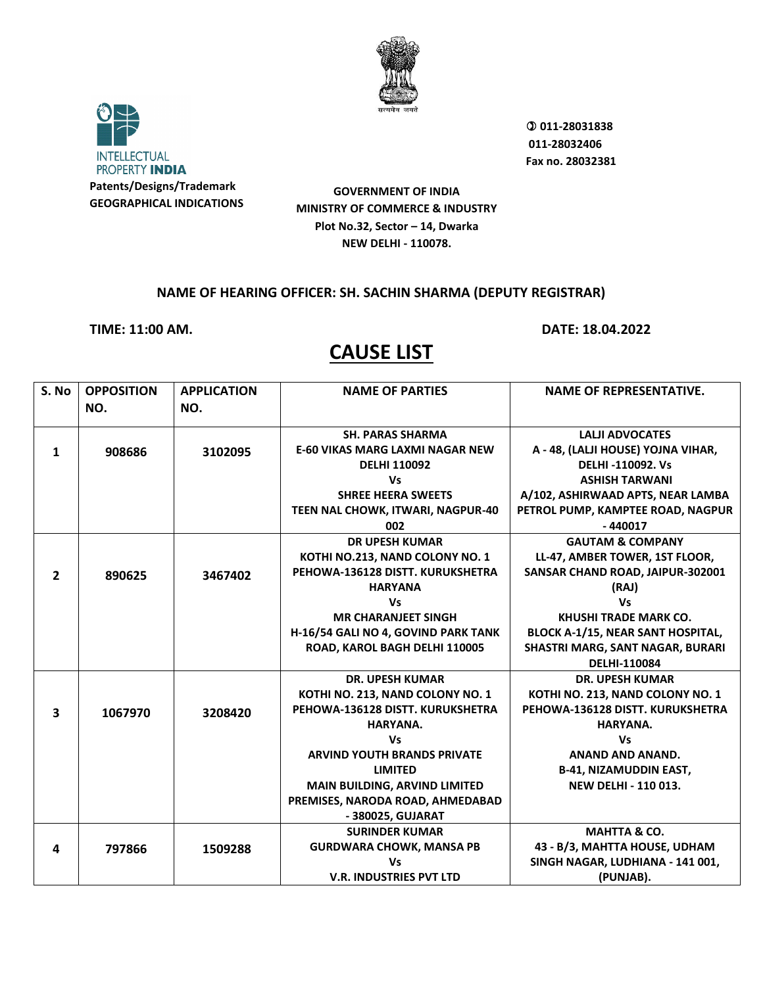



 **011-28031838 011-28032406 Fax no. 28032381**

**GOVERNMENT OF INDIA MINISTRY OF COMMERCE & INDUSTRY Plot No.32, Sector – 14, Dwarka NEW DELHI - 110078.**

#### **NAME OF HEARING OFFICER: SH. SACHIN SHARMA (DEPUTY REGISTRAR)**

**TIME: 11:00 AM. DATE: 18.04.2022**

| NO.<br>NO.                                                                  |                                          |
|-----------------------------------------------------------------------------|------------------------------------------|
|                                                                             |                                          |
|                                                                             |                                          |
| <b>SH. PARAS SHARMA</b>                                                     | <b>LALJI ADVOCATES</b>                   |
| <b>E-60 VIKAS MARG LAXMI NAGAR NEW</b><br>908686<br>3102095<br>$\mathbf{1}$ | A - 48, (LALJI HOUSE) YOJNA VIHAR,       |
| <b>DELHI 110092</b>                                                         | <b>DELHI-110092. Vs</b>                  |
| <b>Vs</b>                                                                   | <b>ASHISH TARWANI</b>                    |
| <b>SHREE HEERA SWEETS</b>                                                   | A/102, ASHIRWAAD APTS, NEAR LAMBA        |
| TEEN NAL CHOWK, ITWARI, NAGPUR-40                                           | PETROL PUMP, KAMPTEE ROAD, NAGPUR        |
| 002                                                                         | $-440017$                                |
| <b>DR UPESH KUMAR</b>                                                       | <b>GAUTAM &amp; COMPANY</b>              |
| KOTHI NO.213, NAND COLONY NO. 1                                             | LL-47, AMBER TOWER, 1ST FLOOR,           |
| PEHOWA-136128 DISTT. KURUKSHETRA<br>$\overline{2}$<br>890625<br>3467402     | SANSAR CHAND ROAD, JAIPUR-302001         |
| <b>HARYANA</b>                                                              | (RAJ)                                    |
| <b>Vs</b>                                                                   | <b>Vs</b>                                |
| <b>MR CHARANJEET SINGH</b>                                                  | <b>KHUSHI TRADE MARK CO.</b>             |
| H-16/54 GALI NO 4, GOVIND PARK TANK                                         | <b>BLOCK A-1/15, NEAR SANT HOSPITAL,</b> |
| ROAD, KAROL BAGH DELHI 110005                                               | SHASTRI MARG, SANT NAGAR, BURARI         |
|                                                                             | <b>DELHI-110084</b>                      |
| <b>DR. UPESH KUMAR</b>                                                      | <b>DR. UPESH KUMAR</b>                   |
| KOTHI NO. 213, NAND COLONY NO. 1                                            | KOTHI NO. 213, NAND COLONY NO. 1         |
| PEHOWA-136128 DISTT. KURUKSHETRA<br>3<br>1067970<br>3208420                 | PEHOWA-136128 DISTT. KURUKSHETRA         |
| HARYANA.                                                                    | HARYANA.                                 |
| <b>Vs</b>                                                                   | <b>Vs</b>                                |
| <b>ARVIND YOUTH BRANDS PRIVATE</b>                                          | <b>ANAND AND ANAND.</b>                  |
| <b>LIMITED</b>                                                              | <b>B-41, NIZAMUDDIN EAST,</b>            |
| <b>MAIN BUILDING, ARVIND LIMITED</b>                                        | <b>NEW DELHI - 110 013.</b>              |
| PREMISES, NARODA ROAD, AHMEDABAD                                            |                                          |
| - 380025, GUJARAT                                                           |                                          |
| <b>SURINDER KUMAR</b>                                                       | MAHTTA & CO.                             |
| <b>GURDWARA CHOWK, MANSA PB</b><br>797866<br>4<br>1509288                   | 43 - B/3, MAHTTA HOUSE, UDHAM            |
| <b>Vs</b>                                                                   | SINGH NAGAR, LUDHIANA - 141 001,         |
| <b>V.R. INDUSTRIES PVT LTD</b>                                              | (PUNJAB).                                |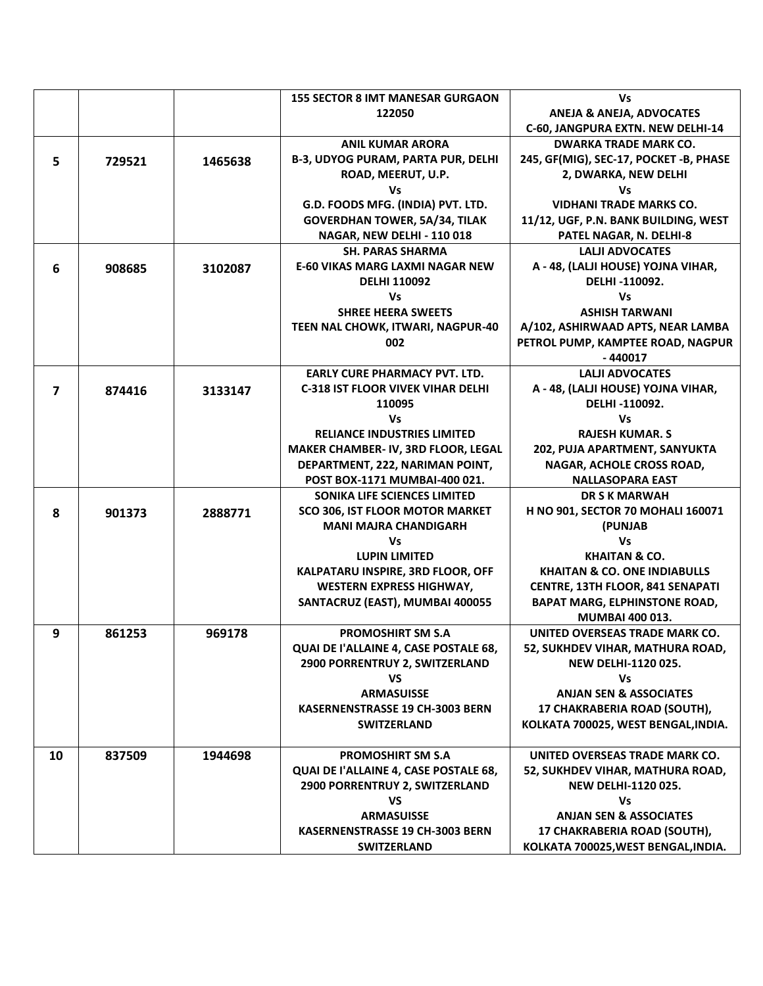|    |        |         | <b>155 SECTOR 8 IMT MANESAR GURGAON</b>                           | Vs                                                      |
|----|--------|---------|-------------------------------------------------------------------|---------------------------------------------------------|
|    |        |         | 122050                                                            | <b>ANEJA &amp; ANEJA, ADVOCATES</b>                     |
|    |        |         |                                                                   | C-60, JANGPURA EXTN. NEW DELHI-14                       |
|    |        |         | <b>ANIL KUMAR ARORA</b>                                           | <b>DWARKA TRADE MARK CO.</b>                            |
| 5  | 729521 | 1465638 | <b>B-3, UDYOG PURAM, PARTA PUR, DELHI</b>                         | 245, GF(MIG), SEC-17, POCKET -B, PHASE                  |
|    |        |         | ROAD, MEERUT, U.P.                                                | 2, DWARKA, NEW DELHI                                    |
|    |        |         | Vs                                                                | Vs                                                      |
|    |        |         | G.D. FOODS MFG. (INDIA) PVT. LTD.                                 | <b>VIDHANI TRADE MARKS CO.</b>                          |
|    |        |         | <b>GOVERDHAN TOWER, 5A/34, TILAK</b>                              | 11/12, UGF, P.N. BANK BUILDING, WEST                    |
|    |        |         | NAGAR, NEW DELHI - 110 018                                        | PATEL NAGAR, N. DELHI-8                                 |
|    |        |         | <b>SH. PARAS SHARMA</b>                                           | <b>LALJI ADVOCATES</b>                                  |
| 6  | 908685 | 3102087 | <b>E-60 VIKAS MARG LAXMI NAGAR NEW</b>                            | A - 48, (LALJI HOUSE) YOJNA VIHAR,                      |
|    |        |         | <b>DELHI 110092</b>                                               | DELHI-110092.                                           |
|    |        |         | Vs                                                                | Vs                                                      |
|    |        |         | <b>SHREE HEERA SWEETS</b>                                         | <b>ASHISH TARWANI</b>                                   |
|    |        |         | TEEN NAL CHOWK, ITWARI, NAGPUR-40                                 | A/102, ASHIRWAAD APTS, NEAR LAMBA                       |
|    |        |         | 002                                                               | PETROL PUMP, KAMPTEE ROAD, NAGPUR                       |
|    |        |         |                                                                   | $-440017$                                               |
|    |        |         | <b>EARLY CURE PHARMACY PVT. LTD.</b>                              | <b>LALJI ADVOCATES</b>                                  |
| 7  | 874416 | 3133147 | <b>C-318 IST FLOOR VIVEK VIHAR DELHI</b>                          | A - 48, (LALJI HOUSE) YOJNA VIHAR,                      |
|    |        |         | 110095                                                            | DELHI-110092.                                           |
|    |        |         | Vs                                                                | Vs                                                      |
|    |        |         | <b>RELIANCE INDUSTRIES LIMITED</b>                                | <b>RAJESH KUMAR. S</b>                                  |
|    |        |         | MAKER CHAMBER- IV, 3RD FLOOR, LEGAL                               | 202, PUJA APARTMENT, SANYUKTA                           |
|    |        |         | DEPARTMENT, 222, NARIMAN POINT,                                   | NAGAR, ACHOLE CROSS ROAD,                               |
|    |        |         | POST BOX-1171 MUMBAI-400 021.                                     | <b>NALLASOPARA EAST</b>                                 |
|    |        |         | SONIKA LIFE SCIENCES LIMITED                                      | <b>DR S K MARWAH</b>                                    |
| 8  | 901373 | 2888771 | SCO 306, IST FLOOR MOTOR MARKET                                   | H NO 901, SECTOR 70 MOHALI 160071                       |
|    |        |         | <b>MANI MAJRA CHANDIGARH</b>                                      | (PUNJAB                                                 |
|    |        |         | Vs                                                                | <b>Vs</b>                                               |
|    |        |         | <b>LUPIN LIMITED</b>                                              | <b>KHAITAN &amp; CO.</b>                                |
|    |        |         | KALPATARU INSPIRE, 3RD FLOOR, OFF                                 | <b>KHAITAN &amp; CO. ONE INDIABULLS</b>                 |
|    |        |         | <b>WESTERN EXPRESS HIGHWAY,</b>                                   | CENTRE, 13TH FLOOR, 841 SENAPATI                        |
|    |        |         | SANTACRUZ (EAST), MUMBAI 400055                                   | <b>BAPAT MARG, ELPHINSTONE ROAD,</b><br>MUMBAI 400 013. |
|    |        |         |                                                                   | UNITED OVERSEAS TRADE MARK CO.                          |
| 9  | 861253 | 969178  | <b>PROMOSHIRT SM S.A</b><br>QUAI DE l'ALLAINE 4, CASE POSTALE 68, | 52, SUKHDEV VIHAR, MATHURA ROAD,                        |
|    |        |         | 2900 PORRENTRUY 2, SWITZERLAND                                    | <b>NEW DELHI-1120 025.</b>                              |
|    |        |         | VS                                                                | Vs                                                      |
|    |        |         | <b>ARMASUISSE</b>                                                 | <b>ANJAN SEN &amp; ASSOCIATES</b>                       |
|    |        |         | KASERNENSTRASSE 19 CH-3003 BERN                                   | 17 CHAKRABERIA ROAD (SOUTH),                            |
|    |        |         | <b>SWITZERLAND</b>                                                | KOLKATA 700025, WEST BENGAL, INDIA.                     |
|    |        |         |                                                                   |                                                         |
| 10 | 837509 | 1944698 | <b>PROMOSHIRT SM S.A</b>                                          | UNITED OVERSEAS TRADE MARK CO.                          |
|    |        |         | QUAI DE l'ALLAINE 4, CASE POSTALE 68,                             | 52, SUKHDEV VIHAR, MATHURA ROAD,                        |
|    |        |         | 2900 PORRENTRUY 2, SWITZERLAND                                    | <b>NEW DELHI-1120 025.</b>                              |
|    |        |         | VS                                                                | Vs                                                      |
|    |        |         | <b>ARMASUISSE</b>                                                 | <b>ANJAN SEN &amp; ASSOCIATES</b>                       |
|    |        |         | <b>KASERNENSTRASSE 19 CH-3003 BERN</b>                            | 17 CHAKRABERIA ROAD (SOUTH),                            |
|    |        |         | <b>SWITZERLAND</b>                                                | KOLKATA 700025, WEST BENGAL, INDIA.                     |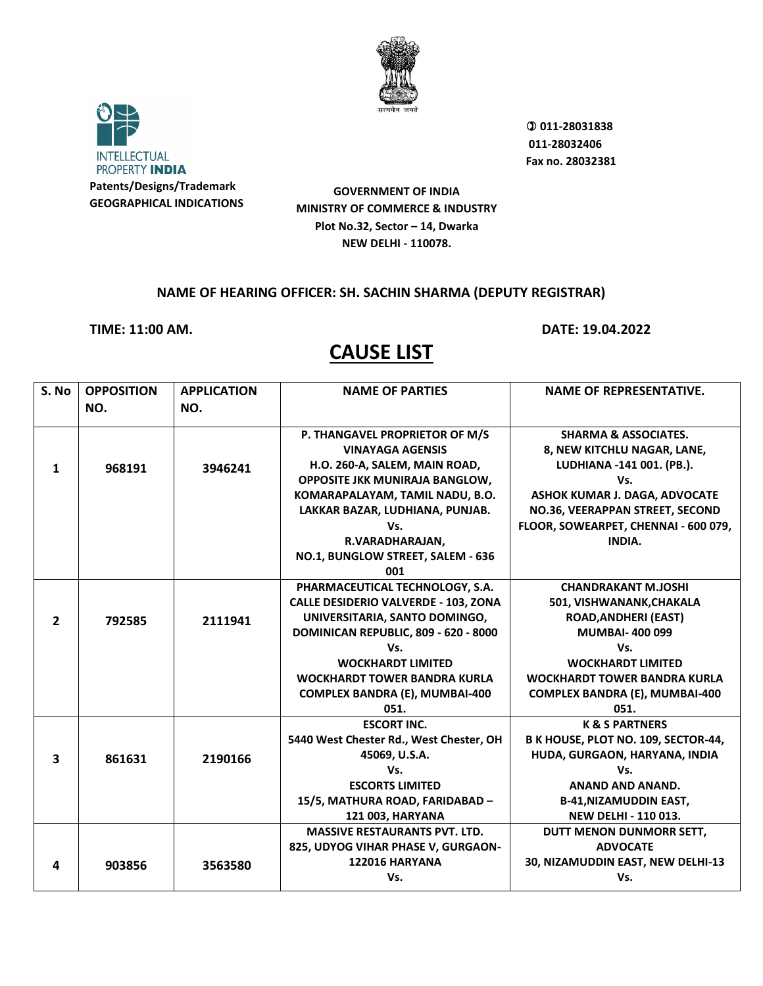



 **011-28031838 011-28032406 Fax no. 28032381**

**GOVERNMENT OF INDIA MINISTRY OF COMMERCE & INDUSTRY Plot No.32, Sector – 14, Dwarka NEW DELHI - 110078.**

#### **NAME OF HEARING OFFICER: SH. SACHIN SHARMA (DEPUTY REGISTRAR)**

**TIME: 11:00 AM. DATE: 19.04.2022**

| S. No          | <b>OPPOSITION</b> | <b>APPLICATION</b> | <b>NAME OF PARTIES</b>                      | <b>NAME OF REPRESENTATIVE.</b>       |
|----------------|-------------------|--------------------|---------------------------------------------|--------------------------------------|
|                | NO.               | NO.                |                                             |                                      |
|                |                   |                    |                                             |                                      |
|                |                   |                    | P. THANGAVEL PROPRIETOR OF M/S              | <b>SHARMA &amp; ASSOCIATES.</b>      |
|                |                   |                    | <b>VINAYAGA AGENSIS</b>                     | 8, NEW KITCHLU NAGAR, LANE,          |
| $\mathbf{1}$   | 968191            | 3946241            | H.O. 260-A, SALEM, MAIN ROAD,               | LUDHIANA -141 001. (PB.).            |
|                |                   |                    | <b>OPPOSITE JKK MUNIRAJA BANGLOW,</b>       | Vs.                                  |
|                |                   |                    | KOMARAPALAYAM, TAMIL NADU, B.O.             | ASHOK KUMAR J. DAGA, ADVOCATE        |
|                |                   |                    | LAKKAR BAZAR, LUDHIANA, PUNJAB.             | NO.36, VEERAPPAN STREET, SECOND      |
|                |                   |                    | Vs.                                         | FLOOR, SOWEARPET, CHENNAI - 600 079, |
|                |                   |                    | R.VARADHARAJAN,                             | INDIA.                               |
|                |                   |                    | NO.1, BUNGLOW STREET, SALEM - 636           |                                      |
|                |                   |                    | 001                                         |                                      |
|                |                   |                    | PHARMACEUTICAL TECHNOLOGY, S.A.             | <b>CHANDRAKANT M.JOSHI</b>           |
|                |                   |                    | <b>CALLE DESIDERIO VALVERDE - 103, ZONA</b> | 501, VISHWANANK, CHAKALA             |
| $\overline{2}$ | 792585            | 2111941            | UNIVERSITARIA, SANTO DOMINGO,               | <b>ROAD, ANDHERI (EAST)</b>          |
|                |                   |                    | DOMINICAN REPUBLIC, 809 - 620 - 8000        | <b>MUMBAI-400099</b>                 |
|                |                   |                    | Vs.                                         | Vs.                                  |
|                |                   |                    | <b>WOCKHARDT LIMITED</b>                    | <b>WOCKHARDT LIMITED</b>             |
|                |                   |                    | <b>WOCKHARDT TOWER BANDRA KURLA</b>         | <b>WOCKHARDT TOWER BANDRA KURLA</b>  |
|                |                   |                    | <b>COMPLEX BANDRA (E), MUMBAI-400</b>       | COMPLEX BANDRA (E), MUMBAI-400       |
|                |                   |                    | 051.                                        | 051.                                 |
|                |                   |                    | <b>ESCORT INC.</b>                          | <b>K &amp; S PARTNERS</b>            |
|                |                   |                    | 5440 West Chester Rd., West Chester, OH     | B K HOUSE, PLOT NO. 109, SECTOR-44,  |
| 3              | 861631            | 2190166            | 45069, U.S.A.                               | HUDA, GURGAON, HARYANA, INDIA        |
|                |                   |                    | Vs.                                         | Vs.                                  |
|                |                   |                    | <b>ESCORTS LIMITED</b>                      | <b>ANAND AND ANAND.</b>              |
|                |                   |                    | 15/5, MATHURA ROAD, FARIDABAD -             | <b>B-41, NIZAMUDDIN EAST,</b>        |
|                |                   |                    | 121 003, HARYANA                            | <b>NEW DELHI - 110 013.</b>          |
|                |                   |                    | <b>MASSIVE RESTAURANTS PVT. LTD.</b>        | DUTT MENON DUNMORR SETT,             |
|                |                   |                    | 825, UDYOG VIHAR PHASE V, GURGAON-          | <b>ADVOCATE</b>                      |
| 4              | 903856            | 3563580            | <b>122016 HARYANA</b>                       | 30, NIZAMUDDIN EAST, NEW DELHI-13    |
|                |                   |                    | Vs.                                         | Vs.                                  |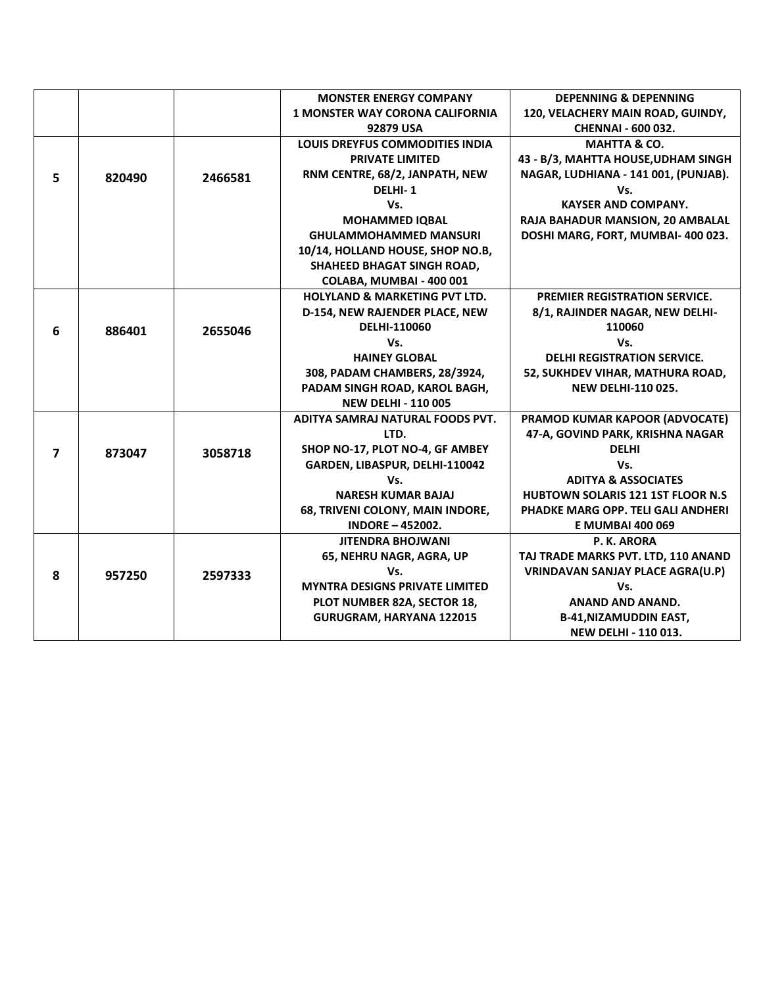|                |        |         | <b>MONSTER ENERGY COMPANY</b>            | <b>DEPENNING &amp; DEPENNING</b>          |
|----------------|--------|---------|------------------------------------------|-------------------------------------------|
|                |        |         | <b>1 MONSTER WAY CORONA CALIFORNIA</b>   | 120, VELACHERY MAIN ROAD, GUINDY,         |
|                |        |         | 92879 USA                                | <b>CHENNAI - 600 032.</b>                 |
|                |        |         | <b>LOUIS DREYFUS COMMODITIES INDIA</b>   | <b>MAHTTA &amp; CO.</b>                   |
|                |        |         | <b>PRIVATE LIMITED</b>                   | 43 - B/3, MAHTTA HOUSE, UDHAM SINGH       |
| 5              | 820490 | 2466581 | RNM CENTRE, 68/2, JANPATH, NEW           | NAGAR, LUDHIANA - 141 001, (PUNJAB).      |
|                |        |         | DELHI-1                                  | Vs.                                       |
|                |        |         | Vs.                                      | <b>KAYSER AND COMPANY.</b>                |
|                |        |         | <b>MOHAMMED IQBAL</b>                    | RAJA BAHADUR MANSION, 20 AMBALAL          |
|                |        |         | <b>GHULAMMOHAMMED MANSURI</b>            | DOSHI MARG, FORT, MUMBAI- 400 023.        |
|                |        |         | 10/14, HOLLAND HOUSE, SHOP NO.B,         |                                           |
|                |        |         | SHAHEED BHAGAT SINGH ROAD,               |                                           |
|                |        |         | COLABA, MUMBAI - 400 001                 |                                           |
|                |        |         | <b>HOLYLAND &amp; MARKETING PVT LTD.</b> | <b>PREMIER REGISTRATION SERVICE.</b>      |
|                |        |         | D-154, NEW RAJENDER PLACE, NEW           | 8/1, RAJINDER NAGAR, NEW DELHI-           |
| 6              | 886401 | 2655046 | DELHI-110060                             | 110060                                    |
|                |        |         | Vs.                                      | Vs.                                       |
|                |        |         | <b>HAINEY GLOBAL</b>                     | <b>DELHI REGISTRATION SERVICE.</b>        |
|                |        |         | 308, PADAM CHAMBERS, 28/3924,            | 52, SUKHDEV VIHAR, MATHURA ROAD,          |
|                |        |         | PADAM SINGH ROAD, KAROL BAGH,            | <b>NEW DELHI-110 025.</b>                 |
|                |        |         | <b>NEW DELHI - 110 005</b>               |                                           |
|                |        |         | ADITYA SAMRAJ NATURAL FOODS PVT.         | PRAMOD KUMAR KAPOOR (ADVOCATE)            |
|                |        |         | LTD.                                     | 47-A, GOVIND PARK, KRISHNA NAGAR          |
| $\overline{ }$ | 873047 | 3058718 | SHOP NO-17, PLOT NO-4, GF AMBEY          | <b>DELHI</b>                              |
|                |        |         | GARDEN, LIBASPUR, DELHI-110042           | Vs.                                       |
|                |        |         | Vs.                                      | <b>ADITYA &amp; ASSOCIATES</b>            |
|                |        |         | <b>NARESH KUMAR BAJAJ</b>                | <b>HUBTOWN SOLARIS 121 1ST FLOOR N.S.</b> |
|                |        |         | 68, TRIVENI COLONY, MAIN INDORE,         | PHADKE MARG OPP. TELI GALI ANDHERI        |
|                |        |         | <b>INDORE - 452002.</b>                  | <b>E MUMBAI 400 069</b>                   |
|                |        |         | <b>JITENDRA BHOJWANI</b>                 | P. K. ARORA                               |
|                |        |         | 65, NEHRU NAGR, AGRA, UP                 | TAJ TRADE MARKS PVT. LTD, 110 ANAND       |
| 8              | 957250 | 2597333 | Vs.                                      | <b>VRINDAVAN SANJAY PLACE AGRA(U.P)</b>   |
|                |        |         | <b>MYNTRA DESIGNS PRIVATE LIMITED</b>    | Vs.                                       |
|                |        |         | PLOT NUMBER 82A, SECTOR 18,              | ANAND AND ANAND.                          |
|                |        |         | <b>GURUGRAM, HARYANA 122015</b>          | <b>B-41, NIZAMUDDIN EAST,</b>             |
|                |        |         |                                          | NEW DELHI - 110 013.                      |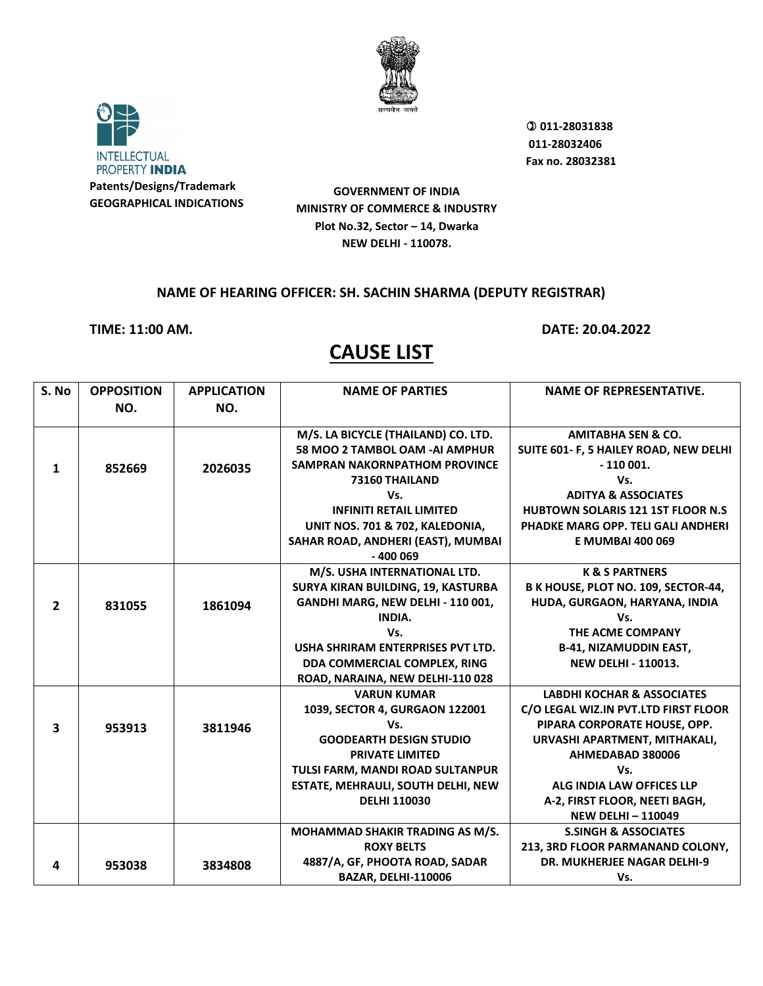



 **011-28031838 011-28032406 Fax no. 28032381**

**GOVERNMENT OF INDIA MINISTRY OF COMMERCE & INDUSTRY Plot No.32, Sector – 14, Dwarka NEW DELHI - 110078.**

#### **NAME OF HEARING OFFICER: SH. SACHIN SHARMA (DEPUTY REGISTRAR)**

**TIME: 11:00 AM. DATE: 20.04.2022**

| S. No                   | <b>OPPOSITION</b> | <b>APPLICATION</b> | <b>NAME OF PARTIES</b>               | <b>NAME OF REPRESENTATIVE.</b>            |
|-------------------------|-------------------|--------------------|--------------------------------------|-------------------------------------------|
|                         | NO.               | NO.                |                                      |                                           |
|                         |                   |                    |                                      |                                           |
|                         |                   |                    | M/S. LA BICYCLE (THAILAND) CO. LTD.  | <b>AMITABHA SEN &amp; CO.</b>             |
|                         |                   |                    | 58 MOO 2 TAMBOL OAM -AI AMPHUR       | SUITE 601- F, 5 HAILEY ROAD, NEW DELHI    |
| 1                       | 852669            | 2026035            | <b>SAMPRAN NAKORNPATHOM PROVINCE</b> | $-110001.$                                |
|                         |                   |                    | 73160 THAILAND                       | Vs.                                       |
|                         |                   |                    | Vs.                                  | <b>ADITYA &amp; ASSOCIATES</b>            |
|                         |                   |                    | <b>INFINITI RETAIL LIMITED</b>       | <b>HUBTOWN SOLARIS 121 1ST FLOOR N.S.</b> |
|                         |                   |                    | UNIT NOS. 701 & 702, KALEDONIA,      | PHADKE MARG OPP. TELI GALI ANDHERI        |
|                         |                   |                    | SAHAR ROAD, ANDHERI (EAST), MUMBAI   | <b>E MUMBAI 400 069</b>                   |
|                         |                   |                    | $-400009$                            |                                           |
|                         |                   |                    | M/S. USHA INTERNATIONAL LTD.         | <b>K &amp; S PARTNERS</b>                 |
|                         |                   |                    | SURYA KIRAN BUILDING, 19, KASTURBA   | B K HOUSE, PLOT NO. 109, SECTOR-44,       |
| $\overline{2}$          | 831055            | 1861094            | GANDHI MARG, NEW DELHI - 110 001,    | HUDA, GURGAON, HARYANA, INDIA             |
|                         |                   |                    | INDIA.                               | Vs.                                       |
|                         |                   |                    | Vs.                                  | THE ACME COMPANY                          |
|                         |                   |                    | USHA SHRIRAM ENTERPRISES PVT LTD.    | <b>B-41, NIZAMUDDIN EAST,</b>             |
|                         |                   |                    | DDA COMMERCIAL COMPLEX, RING         | <b>NEW DELHI - 110013.</b>                |
|                         |                   |                    | ROAD, NARAINA, NEW DELHI-110 028     |                                           |
|                         |                   |                    | <b>VARUN KUMAR</b>                   | <b>LABDHI KOCHAR &amp; ASSOCIATES</b>     |
|                         |                   |                    | 1039, SECTOR 4, GURGAON 122001       | C/O LEGAL WIZ.IN PVT.LTD FIRST FLOOR      |
| $\overline{\mathbf{3}}$ | 953913            | 3811946            | Vs.                                  | PIPARA CORPORATE HOUSE, OPP.              |
|                         |                   |                    | <b>GOODEARTH DESIGN STUDIO</b>       | URVASHI APARTMENT, MITHAKALI,             |
|                         |                   |                    | <b>PRIVATE LIMITED</b>               | AHMEDABAD 380006                          |
|                         |                   |                    | TULSI FARM, MANDI ROAD SULTANPUR     | Vs.                                       |
|                         |                   |                    | ESTATE, MEHRAULI, SOUTH DELHI, NEW   | ALG INDIA LAW OFFICES LLP                 |
|                         |                   |                    | <b>DELHI 110030</b>                  | A-2, FIRST FLOOR, NEETI BAGH,             |
|                         |                   |                    |                                      | <b>NEW DELHI-110049</b>                   |
|                         |                   |                    | MOHAMMAD SHAKIR TRADING AS M/S.      | <b>S.SINGH &amp; ASSOCIATES</b>           |
|                         |                   |                    | <b>ROXY BELTS</b>                    | 213, 3RD FLOOR PARMANAND COLONY,          |
| 4                       | 953038            | 3834808            | 4887/A, GF, PHOOTA ROAD, SADAR       | <b>DR. MUKHERJEE NAGAR DELHI-9</b>        |
|                         |                   |                    | BAZAR, DELHI-110006                  | Vs.                                       |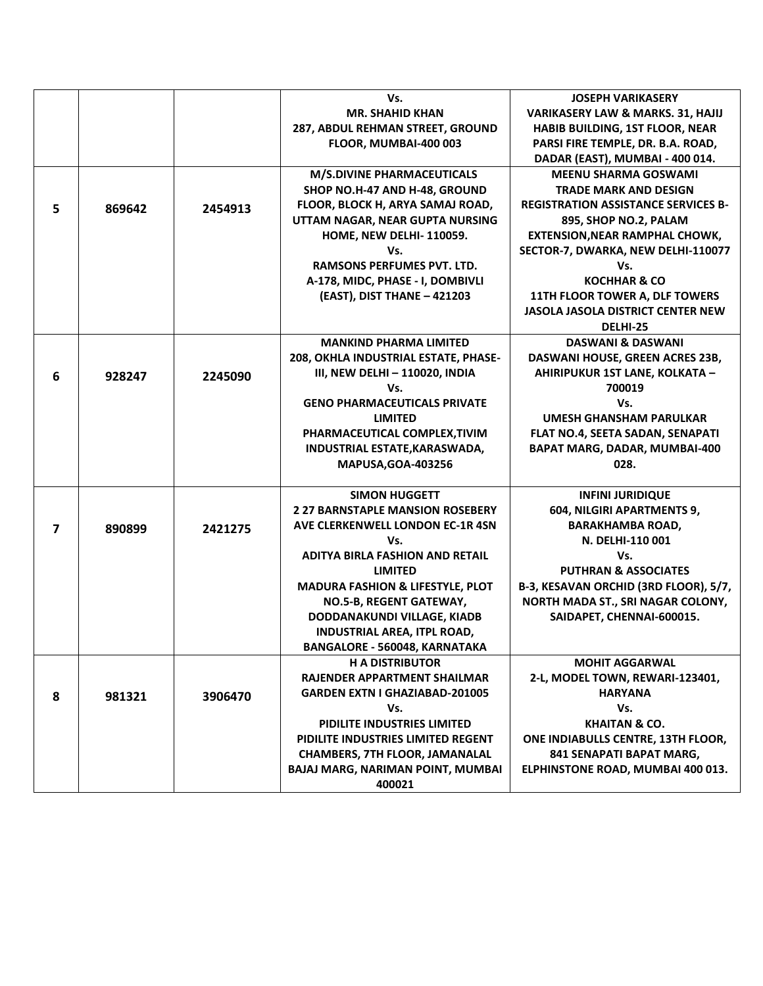|                |        |         | Vs.                                         | <b>JOSEPH VARIKASERY</b>                     |
|----------------|--------|---------|---------------------------------------------|----------------------------------------------|
|                |        |         | <b>MR. SHAHID KHAN</b>                      | <b>VARIKASERY LAW &amp; MARKS. 31, HAJIJ</b> |
|                |        |         | 287, ABDUL REHMAN STREET, GROUND            | HABIB BUILDING, 1ST FLOOR, NEAR              |
|                |        |         | FLOOR, MUMBAI-400 003                       | PARSI FIRE TEMPLE, DR. B.A. ROAD,            |
|                |        |         |                                             | DADAR (EAST), MUMBAI - 400 014.              |
|                |        |         | <b>M/S.DIVINE PHARMACEUTICALS</b>           | <b>MEENU SHARMA GOSWAMI</b>                  |
|                |        |         | SHOP NO.H-47 AND H-48, GROUND               | <b>TRADE MARK AND DESIGN</b>                 |
|                |        |         | FLOOR, BLOCK H, ARYA SAMAJ ROAD,            | <b>REGISTRATION ASSISTANCE SERVICES B-</b>   |
| 5              | 869642 | 2454913 | UTTAM NAGAR, NEAR GUPTA NURSING             | 895, SHOP NO.2, PALAM                        |
|                |        |         | HOME, NEW DELHI-110059.                     | <b>EXTENSION, NEAR RAMPHAL CHOWK,</b>        |
|                |        |         | Vs.                                         | SECTOR-7, DWARKA, NEW DELHI-110077           |
|                |        |         | <b>RAMSONS PERFUMES PVT. LTD.</b>           | Vs.                                          |
|                |        |         | A-178, MIDC, PHASE - I, DOMBIVLI            | <b>KOCHHAR &amp; CO</b>                      |
|                |        |         | (EAST), DIST THANE - 421203                 | 11TH FLOOR TOWER A, DLF TOWERS               |
|                |        |         |                                             | <b>JASOLA JASOLA DISTRICT CENTER NEW</b>     |
|                |        |         |                                             | DELHI-25                                     |
|                |        |         | <b>MANKIND PHARMA LIMITED</b>               | <b>DASWANI &amp; DASWANI</b>                 |
|                |        |         | 208, OKHLA INDUSTRIAL ESTATE, PHASE-        | DASWANI HOUSE, GREEN ACRES 23B,              |
| 6              | 928247 | 2245090 | III, NEW DELHI - 110020, INDIA              | AHIRIPUKUR 1ST LANE, KOLKATA -               |
|                |        |         | Vs.                                         | 700019                                       |
|                |        |         | <b>GENO PHARMACEUTICALS PRIVATE</b>         | Vs.                                          |
|                |        |         | <b>LIMITED</b>                              | <b>UMESH GHANSHAM PARULKAR</b>               |
|                |        |         | PHARMACEUTICAL COMPLEX, TIVIM               | FLAT NO.4, SEETA SADAN, SENAPATI             |
|                |        |         | INDUSTRIAL ESTATE, KARASWADA,               | <b>BAPAT MARG, DADAR, MUMBAI-400</b>         |
|                |        |         | <b>MAPUSA, GOA-403256</b>                   | 028.                                         |
|                |        |         |                                             |                                              |
|                |        |         | <b>SIMON HUGGETT</b>                        | <b>INFINI JURIDIQUE</b>                      |
|                |        |         | <b>2 27 BARNSTAPLE MANSION ROSEBERY</b>     | 604, NILGIRI APARTMENTS 9,                   |
| $\overline{7}$ | 890899 | 2421275 | AVE CLERKENWELL LONDON EC-1R 4SN            | <b>BARAKHAMBA ROAD,</b>                      |
|                |        |         | Vs.                                         | N. DELHI-110 001                             |
|                |        |         | <b>ADITYA BIRLA FASHION AND RETAIL</b>      | Vs.                                          |
|                |        |         | <b>LIMITED</b>                              | <b>PUTHRAN &amp; ASSOCIATES</b>              |
|                |        |         | <b>MADURA FASHION &amp; LIFESTYLE, PLOT</b> | B-3, KESAVAN ORCHID (3RD FLOOR), 5/7,        |
|                |        |         | NO.5-B, REGENT GATEWAY,                     | NORTH MADA ST., SRI NAGAR COLONY,            |
|                |        |         | DODDANAKUNDI VILLAGE, KIADB                 | SAIDAPET, CHENNAI-600015.                    |
|                |        |         | <b>INDUSTRIAL AREA, ITPL ROAD,</b>          |                                              |
|                |        |         | <b>BANGALORE - 560048, KARNATAKA</b>        |                                              |
|                |        |         | <b>H A DISTRIBUTOR</b>                      | <b>MOHIT AGGARWAL</b>                        |
|                |        |         | RAJENDER APPARTMENT SHAILMAR                | 2-L, MODEL TOWN, REWARI-123401,              |
| 8              | 981321 | 3906470 | <b>GARDEN EXTN I GHAZIABAD-201005</b>       | <b>HARYANA</b>                               |
|                |        |         | Vs.                                         | Vs.                                          |
|                |        |         | PIDILITE INDUSTRIES LIMITED                 | <b>KHAITAN &amp; CO.</b>                     |
|                |        |         | PIDILITE INDUSTRIES LIMITED REGENT          | ONE INDIABULLS CENTRE, 13TH FLOOR,           |
|                |        |         | <b>CHAMBERS, 7TH FLOOR, JAMANALAL</b>       | 841 SENAPATI BAPAT MARG,                     |
|                |        |         | <b>BAJAJ MARG, NARIMAN POINT, MUMBAI</b>    | ELPHINSTONE ROAD, MUMBAI 400 013.            |
|                |        |         | 400021                                      |                                              |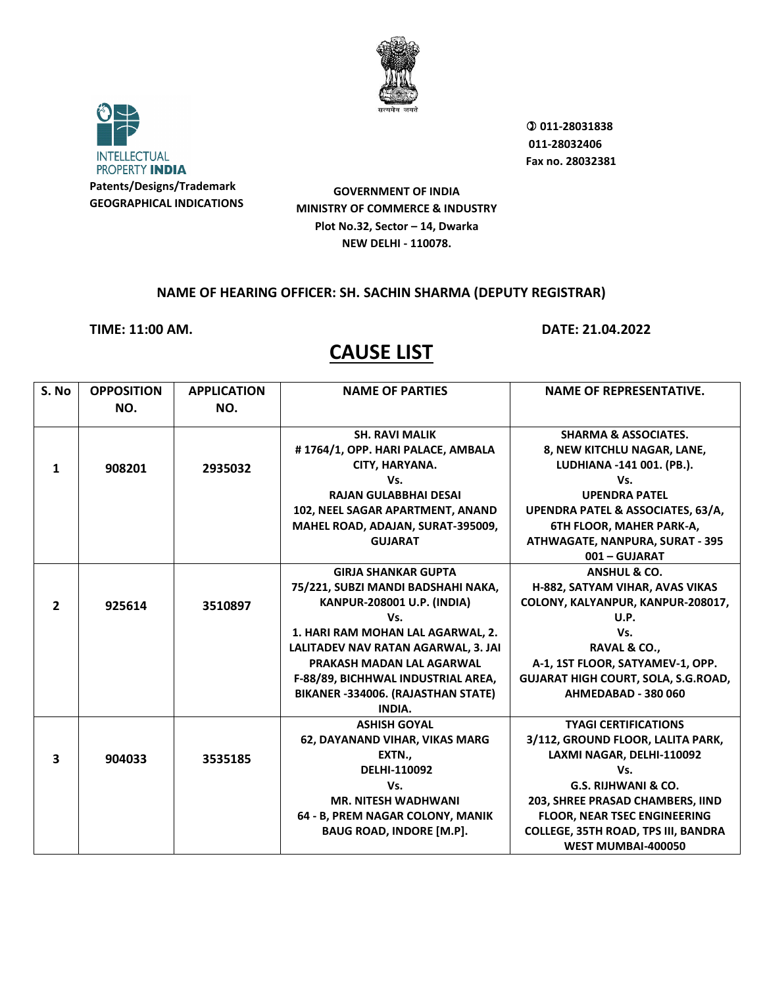



 **011-28031838 011-28032406 Fax no. 28032381**

**GOVERNMENT OF INDIA MINISTRY OF COMMERCE & INDUSTRY Plot No.32, Sector – 14, Dwarka NEW DELHI - 110078.**

#### **NAME OF HEARING OFFICER: SH. SACHIN SHARMA (DEPUTY REGISTRAR)**

**TIME: 11:00 AM. DATE: 21.04.2022**

| S. No                   | <b>OPPOSITION</b> | <b>APPLICATION</b> | <b>NAME OF PARTIES</b>              | <b>NAME OF REPRESENTATIVE.</b>               |
|-------------------------|-------------------|--------------------|-------------------------------------|----------------------------------------------|
|                         | NO.               | NO.                |                                     |                                              |
|                         |                   |                    |                                     |                                              |
|                         |                   |                    | <b>SH. RAVI MALIK</b>               | <b>SHARMA &amp; ASSOCIATES.</b>              |
|                         |                   |                    | #1764/1, OPP. HARI PALACE, AMBALA   | 8, NEW KITCHLU NAGAR, LANE,                  |
| 1                       | 908201            | 2935032            | CITY, HARYANA.                      | LUDHIANA -141 001. (PB.).                    |
|                         |                   |                    | Vs.                                 | Vs.                                          |
|                         |                   |                    | <b>RAJAN GULABBHAI DESAI</b>        | <b>UPENDRA PATEL</b>                         |
|                         |                   |                    | 102, NEEL SAGAR APARTMENT, ANAND    | <b>UPENDRA PATEL &amp; ASSOCIATES, 63/A,</b> |
|                         |                   |                    | MAHEL ROAD, ADAJAN, SURAT-395009,   | <b>6TH FLOOR, MAHER PARK-A,</b>              |
|                         |                   |                    | <b>GUJARAT</b>                      | <b>ATHWAGATE, NANPURA, SURAT - 395</b>       |
|                         |                   |                    |                                     | 001 - GUJARAT                                |
|                         |                   |                    | <b>GIRJA SHANKAR GUPTA</b>          | <b>ANSHUL &amp; CO.</b>                      |
|                         |                   |                    | 75/221, SUBZI MANDI BADSHAHI NAKA,  | H-882, SATYAM VIHAR, AVAS VIKAS              |
| $\overline{2}$          | 925614            | 3510897            | KANPUR-208001 U.P. (INDIA)          | COLONY, KALYANPUR, KANPUR-208017,            |
|                         |                   |                    | Vs.                                 | U.P.                                         |
|                         |                   |                    | 1. HARI RAM MOHAN LAL AGARWAL, 2.   | Vs.                                          |
|                         |                   |                    | LALITADEV NAV RATAN AGARWAL, 3. JAI | RAVAL & CO.,                                 |
|                         |                   |                    | PRAKASH MADAN LAL AGARWAL           | A-1, 1ST FLOOR, SATYAMEV-1, OPP.             |
|                         |                   |                    | F-88/89, BICHHWAL INDUSTRIAL AREA,  | <b>GUJARAT HIGH COURT, SOLA, S.G.ROAD,</b>   |
|                         |                   |                    | BIKANER -334006. (RAJASTHAN STATE)  | AHMEDABAD - 380 060                          |
|                         |                   |                    | INDIA.                              |                                              |
|                         |                   |                    | <b>ASHISH GOYAL</b>                 | <b>TYAGI CERTIFICATIONS</b>                  |
|                         |                   |                    | 62, DAYANAND VIHAR, VIKAS MARG      | 3/112, GROUND FLOOR, LALITA PARK,            |
| $\overline{\mathbf{3}}$ | 904033            | 3535185            | EXTN.,                              | LAXMI NAGAR, DELHI-110092                    |
|                         |                   |                    | DELHI-110092                        | Vs.                                          |
|                         |                   |                    | Vs.                                 | <b>G.S. RIJHWANI &amp; CO.</b>               |
|                         |                   |                    | <b>MR. NITESH WADHWANI</b>          | 203, SHREE PRASAD CHAMBERS, IIND             |
|                         |                   |                    | 64 - B, PREM NAGAR COLONY, MANIK    | <b>FLOOR, NEAR TSEC ENGINEERING</b>          |
|                         |                   |                    | <b>BAUG ROAD, INDORE [M.P].</b>     | <b>COLLEGE, 35TH ROAD, TPS III, BANDRA</b>   |
|                         |                   |                    |                                     | <b>WEST MUMBAI-400050</b>                    |
|                         |                   |                    |                                     |                                              |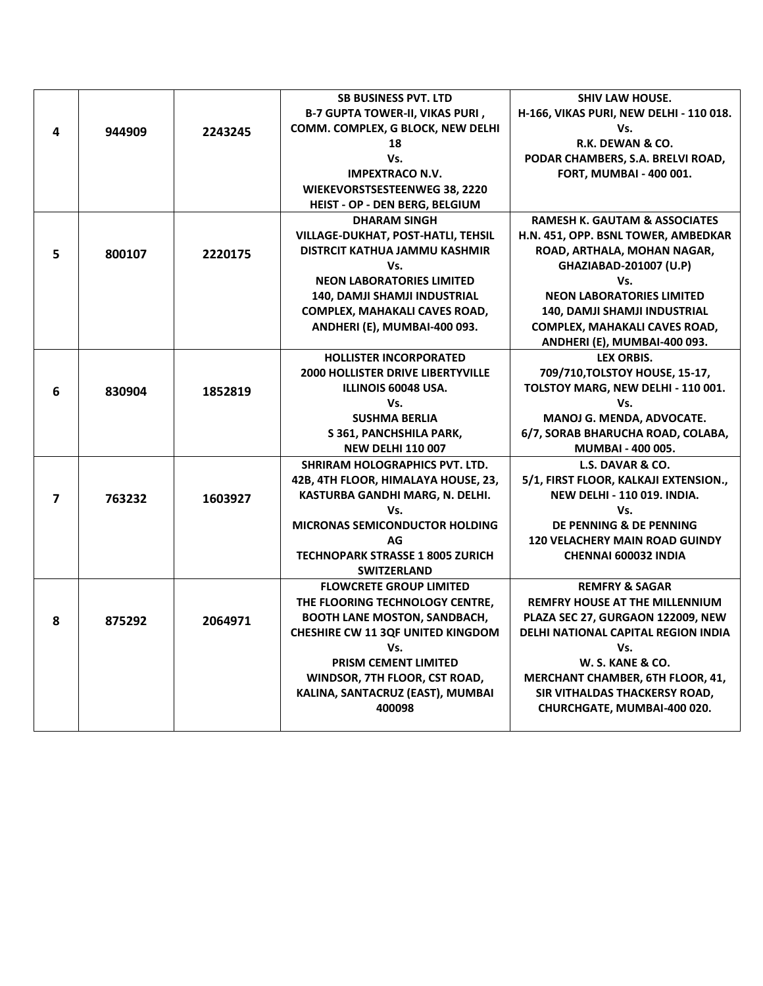|                |        |         | <b>SB BUSINESS PVT. LTD</b>                   | <b>SHIV LAW HOUSE.</b>                                               |
|----------------|--------|---------|-----------------------------------------------|----------------------------------------------------------------------|
|                |        |         | <b>B-7 GUPTA TOWER-II, VIKAS PURI,</b>        | H-166, VIKAS PURI, NEW DELHI - 110 018.                              |
| 4              | 944909 | 2243245 | COMM. COMPLEX, G BLOCK, NEW DELHI             | Vs.                                                                  |
|                |        |         | 18                                            | R.K. DEWAN & CO.                                                     |
|                |        |         | Vs.                                           | PODAR CHAMBERS, S.A. BRELVI ROAD,                                    |
|                |        |         | <b>IMPEXTRACO N.V.</b>                        | FORT, MUMBAI - 400 001.                                              |
|                |        |         | WIEKEVORSTSESTEENWEG 38, 2220                 |                                                                      |
|                |        |         | HEIST - OP - DEN BERG, BELGIUM                |                                                                      |
|                |        |         | <b>DHARAM SINGH</b>                           | <b>RAMESH K. GAUTAM &amp; ASSOCIATES</b>                             |
|                |        |         | <b>VILLAGE-DUKHAT, POST-HATLI, TEHSIL</b>     | H.N. 451, OPP. BSNL TOWER, AMBEDKAR                                  |
| 5.             | 800107 | 2220175 | DISTRCIT KATHUA JAMMU KASHMIR                 | ROAD, ARTHALA, MOHAN NAGAR,                                          |
|                |        |         | Vs.                                           | GHAZIABAD-201007 (U.P)                                               |
|                |        |         | <b>NEON LABORATORIES LIMITED</b>              | Vs.                                                                  |
|                |        |         | 140, DAMJI SHAMJI INDUSTRIAL                  | <b>NEON LABORATORIES LIMITED</b>                                     |
|                |        |         | COMPLEX, MAHAKALI CAVES ROAD,                 | 140, DAMJI SHAMJI INDUSTRIAL                                         |
|                |        |         | ANDHERI (E), MUMBAI-400 093.                  | COMPLEX, MAHAKALI CAVES ROAD,                                        |
|                |        |         |                                               | ANDHERI (E), MUMBAI-400 093.                                         |
|                |        |         | <b>HOLLISTER INCORPORATED</b>                 | <b>LEX ORBIS.</b>                                                    |
|                |        |         | <b>2000 HOLLISTER DRIVE LIBERTYVILLE</b>      | 709/710, TOLSTOY HOUSE, 15-17,                                       |
| 6              | 830904 | 1852819 | ILLINOIS 60048 USA.                           | TOLSTOY MARG, NEW DELHI - 110 001.                                   |
|                |        |         | Vs.                                           | Vs.                                                                  |
|                |        |         | <b>SUSHMA BERLIA</b>                          | MANOJ G. MENDA, ADVOCATE.                                            |
|                |        |         | S 361, PANCHSHILA PARK,                       | 6/7, SORAB BHARUCHA ROAD, COLABA,                                    |
|                |        |         | <b>NEW DELHI 110 007</b>                      | MUMBAI - 400 005.                                                    |
|                |        |         | SHRIRAM HOLOGRAPHICS PVT. LTD.                | L.S. DAVAR & CO.                                                     |
|                |        |         | 42B, 4TH FLOOR, HIMALAYA HOUSE, 23,           | 5/1, FIRST FLOOR, KALKAJI EXTENSION.,                                |
| $\overline{ }$ | 763232 | 1603927 | KASTURBA GANDHI MARG, N. DELHI.               | <b>NEW DELHI - 110 019. INDIA.</b>                                   |
|                |        |         | Vs.                                           | Vs.                                                                  |
|                |        |         | MICRONAS SEMICONDUCTOR HOLDING                | DE PENNING & DE PENNING                                              |
|                |        |         | AG<br><b>TECHNOPARK STRASSE 1 8005 ZURICH</b> | <b>120 VELACHERY MAIN ROAD GUINDY</b><br><b>CHENNAI 600032 INDIA</b> |
|                |        |         | <b>SWITZERLAND</b>                            |                                                                      |
|                |        |         | <b>FLOWCRETE GROUP LIMITED</b>                | <b>REMFRY &amp; SAGAR</b>                                            |
|                |        |         | THE FLOORING TECHNOLOGY CENTRE,               | <b>REMFRY HOUSE AT THE MILLENNIUM</b>                                |
|                |        |         | <b>BOOTH LANE MOSTON, SANDBACH,</b>           | PLAZA SEC 27, GURGAON 122009, NEW                                    |
| 8              | 875292 | 2064971 | <b>CHESHIRE CW 11 3QF UNITED KINGDOM</b>      | DELHI NATIONAL CAPITAL REGION INDIA                                  |
|                |        |         | Vs.                                           | Vs.                                                                  |
|                |        |         | <b>PRISM CEMENT LIMITED</b>                   | W. S. KANE & CO.                                                     |
|                |        |         | WINDSOR, 7TH FLOOR, CST ROAD,                 | MERCHANT CHAMBER, 6TH FLOOR, 41,                                     |
|                |        |         | KALINA, SANTACRUZ (EAST), MUMBAI              | SIR VITHALDAS THACKERSY ROAD,                                        |
|                |        |         | 400098                                        | CHURCHGATE, MUMBAI-400 020.                                          |
|                |        |         |                                               |                                                                      |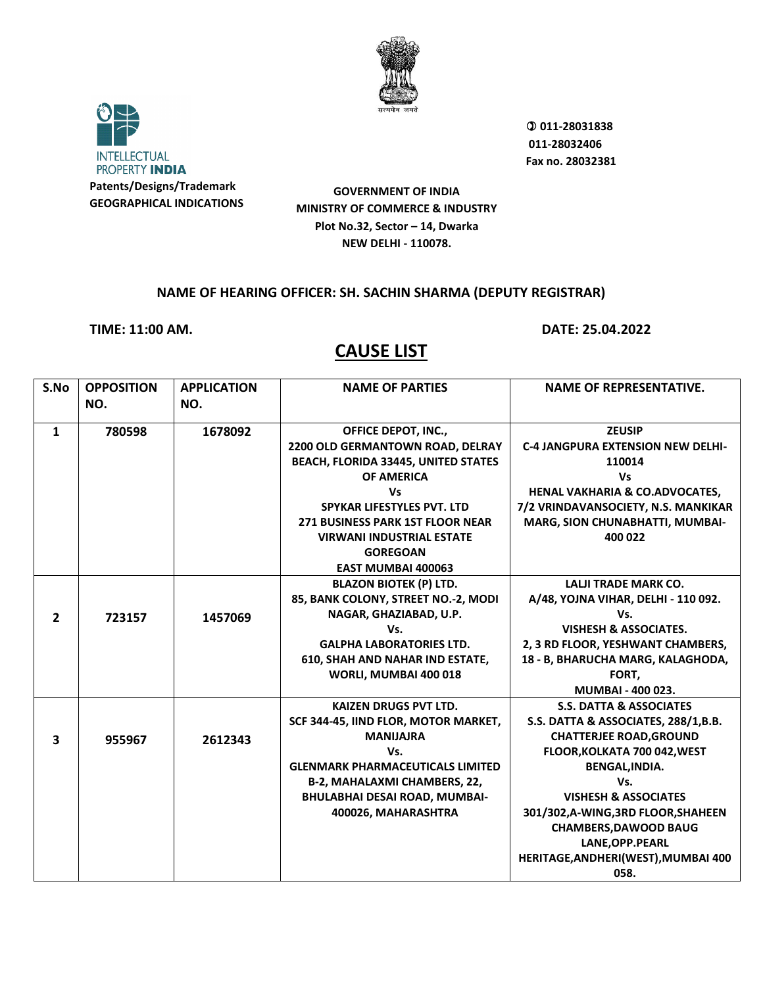



 **011-28031838 011-28032406 Fax no. 28032381**

**GOVERNMENT OF INDIA MINISTRY OF COMMERCE & INDUSTRY Plot No.32, Sector – 14, Dwarka NEW DELHI - 110078.**

#### **NAME OF HEARING OFFICER: SH. SACHIN SHARMA (DEPUTY REGISTRAR)**

**TIME: 11:00 AM. DATE: 25.04.2022**

| S.No           | <b>OPPOSITION</b> | <b>APPLICATION</b> | <b>NAME OF PARTIES</b>                  | <b>NAME OF REPRESENTATIVE.</b>           |
|----------------|-------------------|--------------------|-----------------------------------------|------------------------------------------|
|                | NO.               | NO.                |                                         |                                          |
|                |                   |                    |                                         |                                          |
| $\mathbf{1}$   | 780598            | 1678092            | <b>OFFICE DEPOT, INC.,</b>              | <b>ZEUSIP</b>                            |
|                |                   |                    | 2200 OLD GERMANTOWN ROAD, DELRAY        | <b>C-4 JANGPURA EXTENSION NEW DELHI-</b> |
|                |                   |                    | BEACH, FLORIDA 33445, UNITED STATES     | 110014                                   |
|                |                   |                    | OF AMERICA                              | Vs                                       |
|                |                   |                    | Vs                                      | HENAL VAKHARIA & CO.ADVOCATES,           |
|                |                   |                    | SPYKAR LIFESTYLES PVT. LTD              | 7/2 VRINDAVANSOCIETY, N.S. MANKIKAR      |
|                |                   |                    | <b>271 BUSINESS PARK 1ST FLOOR NEAR</b> | MARG, SION CHUNABHATTI, MUMBAI-          |
|                |                   |                    | <b>VIRWANI INDUSTRIAL ESTATE</b>        | 400 022                                  |
|                |                   |                    | <b>GOREGOAN</b>                         |                                          |
|                |                   |                    | <b>EAST MUMBAI 400063</b>               |                                          |
|                |                   |                    | <b>BLAZON BIOTEK (P) LTD.</b>           | <b>LALJI TRADE MARK CO.</b>              |
|                |                   |                    | 85, BANK COLONY, STREET NO.-2, MODI     | A/48, YOJNA VIHAR, DELHI - 110 092.      |
| $\overline{2}$ | 723157            | 1457069            | NAGAR, GHAZIABAD, U.P.                  | Vs.                                      |
|                |                   |                    | Vs.                                     | <b>VISHESH &amp; ASSOCIATES.</b>         |
|                |                   |                    | <b>GALPHA LABORATORIES LTD.</b>         | 2, 3 RD FLOOR, YESHWANT CHAMBERS,        |
|                |                   |                    | <b>610, SHAH AND NAHAR IND ESTATE,</b>  | 18 - B, BHARUCHA MARG, KALAGHODA,        |
|                |                   |                    | WORLI, MUMBAI 400 018                   | FORT,                                    |
|                |                   |                    |                                         | MUMBAI - 400 023.                        |
|                |                   |                    | <b>KAIZEN DRUGS PVT LTD.</b>            | <b>S.S. DATTA &amp; ASSOCIATES</b>       |
|                |                   |                    | SCF 344-45, IIND FLOR, MOTOR MARKET,    | S.S. DATTA & ASSOCIATES, 288/1, B.B.     |
| 3              | 955967            | 2612343            | <b>MANIJAJRA</b>                        | <b>CHATTERJEE ROAD, GROUND</b>           |
|                |                   |                    | Vs.                                     | FLOOR, KOLKATA 700 042, WEST             |
|                |                   |                    | <b>GLENMARK PHARMACEUTICALS LIMITED</b> | BENGAL, INDIA.                           |
|                |                   |                    | B-2, MAHALAXMI CHAMBERS, 22,            | Vs.                                      |
|                |                   |                    | BHULABHAI DESAI ROAD, MUMBAI-           | <b>VISHESH &amp; ASSOCIATES</b>          |
|                |                   |                    | 400026, MAHARASHTRA                     | 301/302, A-WING, 3RD FLOOR, SHAHEEN      |
|                |                   |                    |                                         | <b>CHAMBERS, DAWOOD BAUG</b>             |
|                |                   |                    |                                         | LANE, OPP. PEARL                         |
|                |                   |                    |                                         | HERITAGE, ANDHERI (WEST), MUMBAI 400     |
|                |                   |                    |                                         | 058.                                     |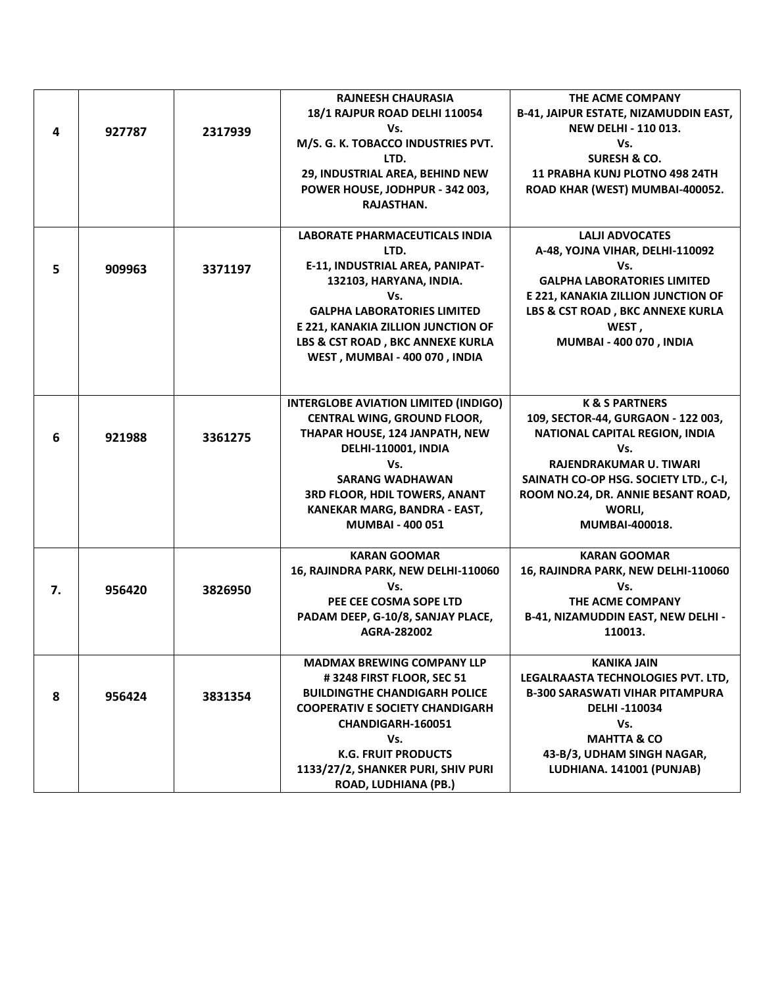| 4  | 927787 | 2317939 | <b>RAJNEESH CHAURASIA</b><br>18/1 RAJPUR ROAD DELHI 110054<br>Vs.<br>M/S. G. K. TOBACCO INDUSTRIES PVT.<br>LTD.<br>29, INDUSTRIAL AREA, BEHIND NEW<br>POWER HOUSE, JODHPUR - 342 003,<br>RAJASTHAN.                                                                                   | THE ACME COMPANY<br><b>B-41, JAIPUR ESTATE, NIZAMUDDIN EAST,</b><br><b>NEW DELHI - 110 013.</b><br>Vs.<br><b>SURESH &amp; CO.</b><br>11 PRABHA KUNJ PLOTNO 498 24TH<br>ROAD KHAR (WEST) MUMBAI-400052.                                         |
|----|--------|---------|---------------------------------------------------------------------------------------------------------------------------------------------------------------------------------------------------------------------------------------------------------------------------------------|------------------------------------------------------------------------------------------------------------------------------------------------------------------------------------------------------------------------------------------------|
| 5  | 909963 | 3371197 | <b>LABORATE PHARMACEUTICALS INDIA</b><br>LTD.<br>E-11, INDUSTRIAL AREA, PANIPAT-<br>132103, HARYANA, INDIA.<br>Vs.<br><b>GALPHA LABORATORIES LIMITED</b><br>E 221, KANAKIA ZILLION JUNCTION OF<br>LBS & CST ROAD, BKC ANNEXE KURLA<br>WEST, MUMBAI - 400 070, INDIA                   | <b>LALII ADVOCATES</b><br>A-48, YOJNA VIHAR, DELHI-110092<br>Vs.<br><b>GALPHA LABORATORIES LIMITED</b><br>E 221, KANAKIA ZILLION JUNCTION OF<br>LBS & CST ROAD, BKC ANNEXE KURLA<br>WEST,<br><b>MUMBAI - 400 070, INDIA</b>                    |
| 6  | 921988 | 3361275 | <b>INTERGLOBE AVIATION LIMITED (INDIGO)</b><br><b>CENTRAL WING, GROUND FLOOR,</b><br>THAPAR HOUSE, 124 JANPATH, NEW<br><b>DELHI-110001, INDIA</b><br>Vs.<br><b>SARANG WADHAWAN</b><br><b>3RD FLOOR, HDIL TOWERS, ANANT</b><br>KANEKAR MARG, BANDRA - EAST,<br><b>MUMBAI - 400 051</b> | <b>K &amp; S PARTNERS</b><br>109, SECTOR-44, GURGAON - 122 003,<br>NATIONAL CAPITAL REGION, INDIA<br>Vs.<br>RAJENDRAKUMAR U. TIWARI<br>SAINATH CO-OP HSG. SOCIETY LTD., C-I,<br>ROOM NO.24, DR. ANNIE BESANT ROAD,<br>WORLI,<br>MUMBAI-400018. |
| 7. | 956420 | 3826950 | <b>KARAN GOOMAR</b><br>16, RAJINDRA PARK, NEW DELHI-110060<br>Vs.<br>PEE CEE COSMA SOPE LTD<br>PADAM DEEP, G-10/8, SANJAY PLACE,<br>AGRA-282002                                                                                                                                       | <b>KARAN GOOMAR</b><br>16, RAJINDRA PARK, NEW DELHI-110060<br>Vs.<br>THE ACME COMPANY<br>B-41, NIZAMUDDIN EAST, NEW DELHI -<br>110013.                                                                                                         |
| 8  | 956424 | 3831354 | <b>MADMAX BREWING COMPANY LLP</b><br>#3248 FIRST FLOOR, SEC 51<br><b>BUILDINGTHE CHANDIGARH POLICE</b><br><b>COOPERATIV E SOCIETY CHANDIGARH</b><br><b>CHANDIGARH-160051</b><br>Vs.<br><b>K.G. FRUIT PRODUCTS</b><br>1133/27/2, SHANKER PURI, SHIV PURI<br>ROAD, LUDHIANA (PB.)       | <b>KANIKA JAIN</b><br>LEGALRAASTA TECHNOLOGIES PVT. LTD,<br><b>B-300 SARASWATI VIHAR PITAMPURA</b><br>DELHI-110034<br>Vs.<br><b>MAHTTA &amp; CO</b><br>43-B/3, UDHAM SINGH NAGAR,<br>LUDHIANA. 141001 (PUNJAB)                                 |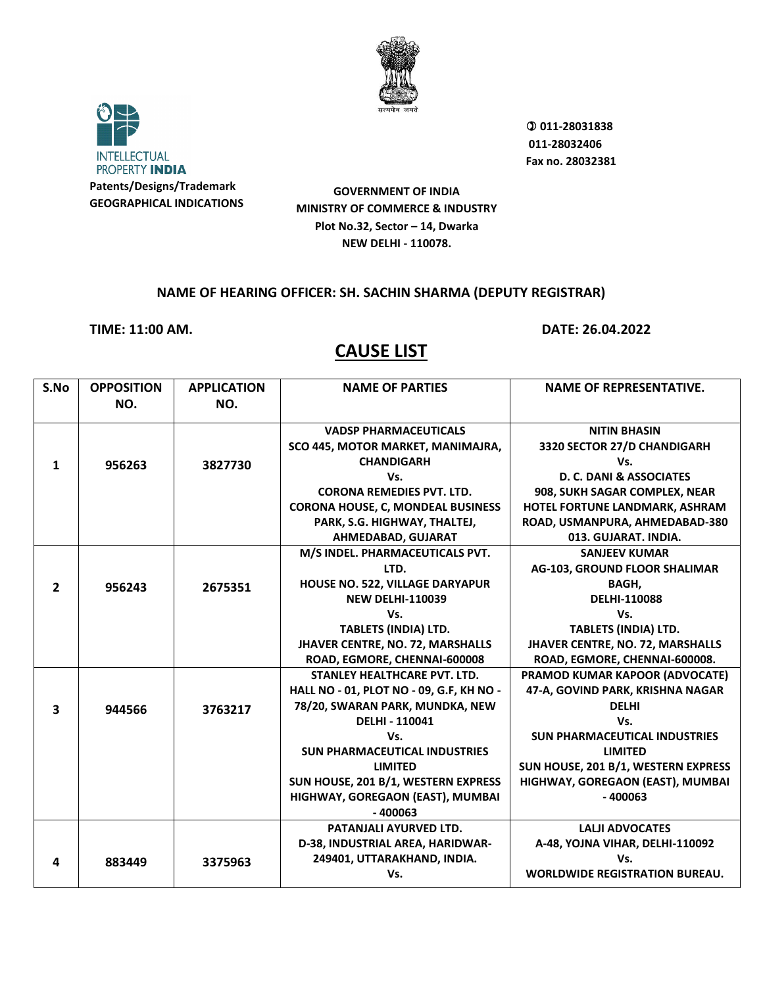



 **011-28031838 011-28032406 Fax no. 28032381**

**GOVERNMENT OF INDIA MINISTRY OF COMMERCE & INDUSTRY Plot No.32, Sector – 14, Dwarka NEW DELHI - 110078.**

#### **NAME OF HEARING OFFICER: SH. SACHIN SHARMA (DEPUTY REGISTRAR)**

**TIME: 11:00 AM. DATE: 26.04.2022**

| S.No                    | <b>OPPOSITION</b> | <b>APPLICATION</b> | <b>NAME OF PARTIES</b>                   | <b>NAME OF REPRESENTATIVE.</b>        |
|-------------------------|-------------------|--------------------|------------------------------------------|---------------------------------------|
|                         | NO.               | NO.                |                                          |                                       |
|                         |                   |                    |                                          |                                       |
|                         |                   |                    | <b>VADSP PHARMACEUTICALS</b>             | <b>NITIN BHASIN</b>                   |
|                         |                   |                    | SCO 445, MOTOR MARKET, MANIMAJRA,        | 3320 SECTOR 27/D CHANDIGARH           |
| 1                       | 956263            | 3827730            | <b>CHANDIGARH</b>                        | Vs.                                   |
|                         |                   |                    | Vs.                                      | D. C. DANI & ASSOCIATES               |
|                         |                   |                    | <b>CORONA REMEDIES PVT. LTD.</b>         | 908, SUKH SAGAR COMPLEX, NEAR         |
|                         |                   |                    | <b>CORONA HOUSE, C, MONDEAL BUSINESS</b> | HOTEL FORTUNE LANDMARK, ASHRAM        |
|                         |                   |                    | PARK, S.G. HIGHWAY, THALTEJ,             | ROAD, USMANPURA, AHMEDABAD-380        |
|                         |                   |                    | AHMEDABAD, GUJARAT                       | 013. GUJARAT. INDIA.                  |
|                         |                   |                    | M/S INDEL. PHARMACEUTICALS PVT.          | <b>SANJEEV KUMAR</b>                  |
|                         |                   |                    | LTD.                                     | AG-103, GROUND FLOOR SHALIMAR         |
| $\overline{2}$          | 956243            | 2675351            | HOUSE NO. 522, VILLAGE DARYAPUR          | BAGH,                                 |
|                         |                   |                    | <b>NEW DELHI-110039</b>                  | <b>DELHI-110088</b>                   |
|                         |                   |                    | Vs.                                      | Vs.                                   |
|                         |                   |                    | <b>TABLETS (INDIA) LTD.</b>              | <b>TABLETS (INDIA) LTD.</b>           |
|                         |                   |                    | JHAVER CENTRE, NO. 72, MARSHALLS         | JHAVER CENTRE, NO. 72, MARSHALLS      |
|                         |                   |                    | ROAD, EGMORE, CHENNAI-600008             | ROAD, EGMORE, CHENNAI-600008.         |
|                         |                   |                    | <b>STANLEY HEALTHCARE PVT. LTD.</b>      | PRAMOD KUMAR KAPOOR (ADVOCATE)        |
|                         |                   |                    | HALL NO - 01, PLOT NO - 09, G.F, KH NO - | 47-A, GOVIND PARK, KRISHNA NAGAR      |
| $\overline{\mathbf{3}}$ | 944566            | 3763217            | 78/20, SWARAN PARK, MUNDKA, NEW          | <b>DELHI</b>                          |
|                         |                   |                    | <b>DELHI - 110041</b>                    | Vs.                                   |
|                         |                   |                    | Vs.                                      | <b>SUN PHARMACEUTICAL INDUSTRIES</b>  |
|                         |                   |                    | <b>SUN PHARMACEUTICAL INDUSTRIES</b>     | <b>LIMITED</b>                        |
|                         |                   |                    | <b>LIMITED</b>                           | SUN HOUSE, 201 B/1, WESTERN EXPRESS   |
|                         |                   |                    | SUN HOUSE, 201 B/1, WESTERN EXPRESS      | HIGHWAY, GOREGAON (EAST), MUMBAI      |
|                         |                   |                    | HIGHWAY, GOREGAON (EAST), MUMBAI         | $-400063$                             |
|                         |                   |                    | $-400063$                                |                                       |
|                         |                   |                    | PATANJALI AYURVED LTD.                   | <b>LALII ADVOCATES</b>                |
|                         |                   |                    | D-38, INDUSTRIAL AREA, HARIDWAR-         | A-48, YOJNA VIHAR, DELHI-110092       |
| 4                       | 883449            | 3375963            | 249401, UTTARAKHAND, INDIA.              | Vs.                                   |
|                         |                   |                    | Vs.                                      | <b>WORLDWIDE REGISTRATION BUREAU.</b> |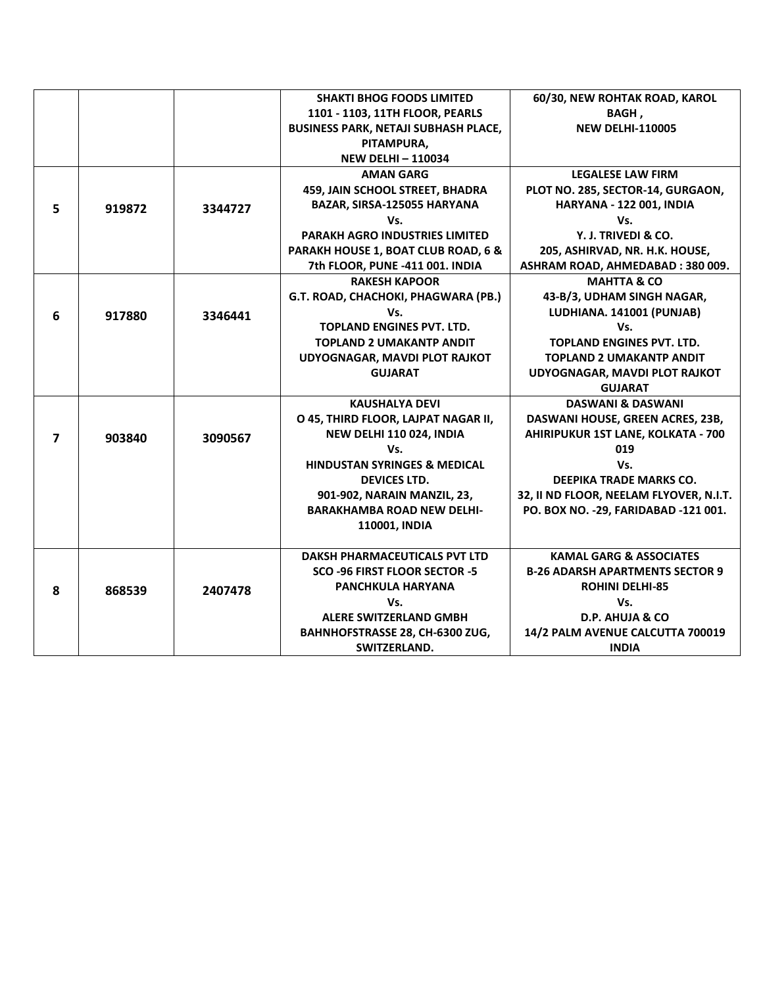|                |        |         | <b>SHAKTI BHOG FOODS LIMITED</b>            | 60/30, NEW ROHTAK ROAD, KAROL           |
|----------------|--------|---------|---------------------------------------------|-----------------------------------------|
|                |        |         | 1101 - 1103, 11TH FLOOR, PEARLS             | BAGH,                                   |
|                |        |         | <b>BUSINESS PARK, NETAJI SUBHASH PLACE,</b> | <b>NEW DELHI-110005</b>                 |
|                |        |         | PITAMPURA,                                  |                                         |
|                |        |         | <b>NEW DELHI-110034</b>                     |                                         |
|                |        |         | <b>AMAN GARG</b>                            | <b>LEGALESE LAW FIRM</b>                |
|                |        |         | 459, JAIN SCHOOL STREET, BHADRA             | PLOT NO. 285, SECTOR-14, GURGAON,       |
| 5              | 919872 | 3344727 | BAZAR, SIRSA-125055 HARYANA                 | HARYANA - 122 001, INDIA                |
|                |        |         | Vs.                                         | Vs.                                     |
|                |        |         | PARAKH AGRO INDUSTRIES LIMITED              | Y. J. TRIVEDI & CO.                     |
|                |        |         | PARAKH HOUSE 1, BOAT CLUB ROAD, 6 &         | 205, ASHIRVAD, NR. H.K. HOUSE,          |
|                |        |         | 7th FLOOR, PUNE -411 001. INDIA             | ASHRAM ROAD, AHMEDABAD: 380 009.        |
|                |        |         | <b>RAKESH KAPOOR</b>                        | <b>MAHTTA &amp; CO</b>                  |
|                |        |         | G.T. ROAD, CHACHOKI, PHAGWARA (PB.)         | 43-B/3, UDHAM SINGH NAGAR,              |
| 6              | 917880 | 3346441 | Vs.                                         | LUDHIANA. 141001 (PUNJAB)               |
|                |        |         | <b>TOPLAND ENGINES PVT. LTD.</b>            | Vs.                                     |
|                |        |         | <b>TOPLAND 2 UMAKANTP ANDIT</b>             | <b>TOPLAND ENGINES PVT. LTD.</b>        |
|                |        |         | UDYOGNAGAR, MAVDI PLOT RAJKOT               | <b>TOPLAND 2 UMAKANTP ANDIT</b>         |
|                |        |         | <b>GUJARAT</b>                              | UDYOGNAGAR, MAVDI PLOT RAJKOT           |
|                |        |         |                                             | <b>GUJARAT</b>                          |
|                |        |         | <b>KAUSHALYA DEVI</b>                       | <b>DASWANI &amp; DASWANI</b>            |
|                |        |         | O 45, THIRD FLOOR, LAJPAT NAGAR II,         | DASWANI HOUSE, GREEN ACRES, 23B,        |
| $\overline{7}$ | 903840 | 3090567 | NEW DELHI 110 024, INDIA                    | AHIRIPUKUR 1ST LANE, KOLKATA - 700      |
|                |        |         | Vs.                                         | 019                                     |
|                |        |         | <b>HINDUSTAN SYRINGES &amp; MEDICAL</b>     | Vs.                                     |
|                |        |         | <b>DEVICES LTD.</b>                         | DEEPIKA TRADE MARKS CO.                 |
|                |        |         | 901-902, NARAIN MANZIL, 23,                 | 32, II ND FLOOR, NEELAM FLYOVER, N.I.T. |
|                |        |         | <b>BARAKHAMBA ROAD NEW DELHI-</b>           | PO. BOX NO. - 29, FARIDABAD - 121 001.  |
|                |        |         | 110001, INDIA                               |                                         |
|                |        |         |                                             |                                         |
|                |        |         | <b>DAKSH PHARMACEUTICALS PVT LTD</b>        | <b>KAMAL GARG &amp; ASSOCIATES</b>      |
|                |        |         | <b>SCO -96 FIRST FLOOR SECTOR -5</b>        | <b>B-26 ADARSH APARTMENTS SECTOR 9</b>  |
| 8              | 868539 | 2407478 | PANCHKULA HARYANA                           | <b>ROHINI DELHI-85</b>                  |
|                |        |         | Vs.                                         | Vs.                                     |
|                |        |         | <b>ALERE SWITZERLAND GMBH</b>               | D.P. AHUJA & CO                         |
|                |        |         | BAHNHOFSTRASSE 28, CH-6300 ZUG,             | 14/2 PALM AVENUE CALCUTTA 700019        |
|                |        |         | SWITZERLAND.                                | <b>INDIA</b>                            |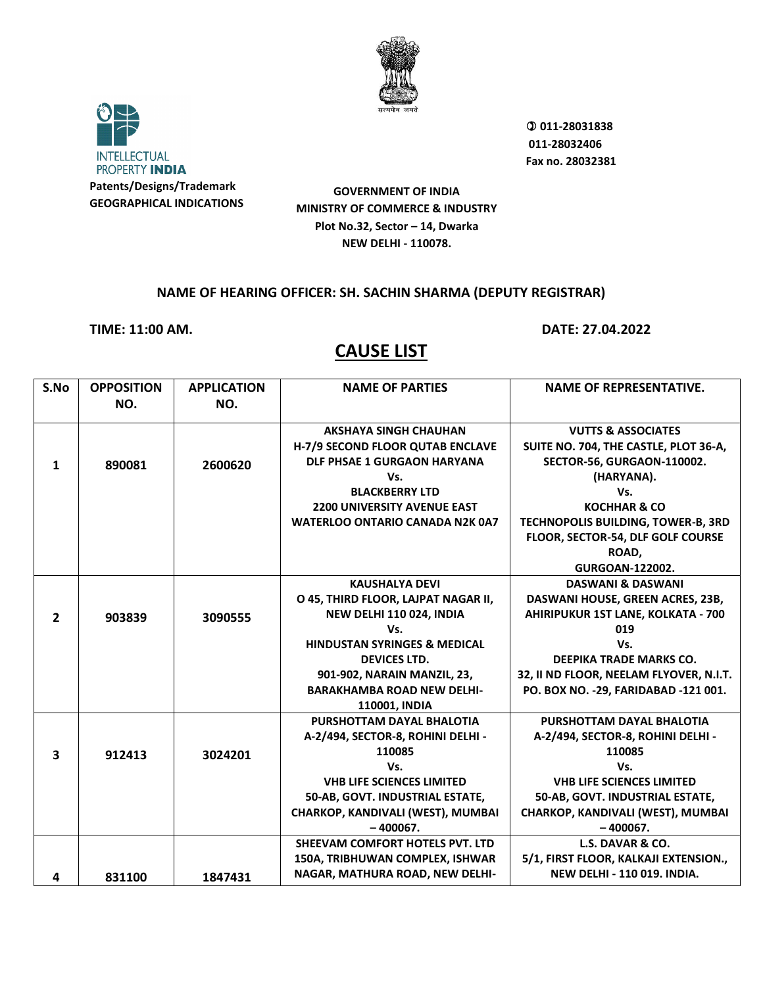



 **011-28031838 011-28032406 Fax no. 28032381**

**GOVERNMENT OF INDIA MINISTRY OF COMMERCE & INDUSTRY Plot No.32, Sector – 14, Dwarka NEW DELHI - 110078.**

#### **NAME OF HEARING OFFICER: SH. SACHIN SHARMA (DEPUTY REGISTRAR)**

**TIME: 11:00 AM. DATE: 27.04.2022**

| S.No           | <b>OPPOSITION</b> | <b>APPLICATION</b> | <b>NAME OF PARTIES</b>                  | <b>NAME OF REPRESENTATIVE.</b>          |
|----------------|-------------------|--------------------|-----------------------------------------|-----------------------------------------|
|                | NO.               | NO.                |                                         |                                         |
|                |                   |                    | <b>AKSHAYA SINGH CHAUHAN</b>            | <b>VUTTS &amp; ASSOCIATES</b>           |
|                |                   |                    | H-7/9 SECOND FLOOR QUTAB ENCLAVE        | SUITE NO. 704, THE CASTLE, PLOT 36-A,   |
| $\mathbf{1}$   | 890081            | 2600620            | DLF PHSAE 1 GURGAON HARYANA             | SECTOR-56, GURGAON-110002.              |
|                |                   |                    | Vs.                                     | (HARYANA).                              |
|                |                   |                    | <b>BLACKBERRY LTD</b>                   | Vs.                                     |
|                |                   |                    | <b>2200 UNIVERSITY AVENUE EAST</b>      | <b>KOCHHAR &amp; CO</b>                 |
|                |                   |                    | WATERLOO ONTARIO CANADA N2K 0A7         | TECHNOPOLIS BUILDING, TOWER-B, 3RD      |
|                |                   |                    |                                         | FLOOR, SECTOR-54, DLF GOLF COURSE       |
|                |                   |                    |                                         | ROAD,                                   |
|                |                   |                    |                                         | <b>GURGOAN-122002.</b>                  |
|                |                   |                    | <b>KAUSHALYA DEVI</b>                   | <b>DASWANI &amp; DASWANI</b>            |
|                |                   |                    | O 45, THIRD FLOOR, LAJPAT NAGAR II,     | DASWANI HOUSE, GREEN ACRES, 23B,        |
| $\overline{2}$ | 903839            | 3090555            | NEW DELHI 110 024, INDIA                | AHIRIPUKUR 1ST LANE, KOLKATA - 700      |
|                |                   |                    | Vs.                                     | 019                                     |
|                |                   |                    | <b>HINDUSTAN SYRINGES &amp; MEDICAL</b> | Vs.                                     |
|                |                   |                    | <b>DEVICES LTD.</b>                     | <b>DEEPIKA TRADE MARKS CO.</b>          |
|                |                   |                    | 901-902, NARAIN MANZIL, 23,             | 32, II ND FLOOR, NEELAM FLYOVER, N.I.T. |
|                |                   |                    | <b>BARAKHAMBA ROAD NEW DELHI-</b>       | PO. BOX NO. - 29, FARIDABAD - 121 001.  |
|                |                   |                    | 110001, INDIA                           |                                         |
|                |                   |                    | PURSHOTTAM DAYAL BHALOTIA               | PURSHOTTAM DAYAL BHALOTIA               |
|                |                   |                    | A-2/494, SECTOR-8, ROHINI DELHI -       | A-2/494, SECTOR-8, ROHINI DELHI -       |
| 3              | 912413            | 3024201            | 110085                                  | 110085                                  |
|                |                   |                    | Vs.                                     | Vs.                                     |
|                |                   |                    | <b>VHB LIFE SCIENCES LIMITED</b>        | <b>VHB LIFE SCIENCES LIMITED</b>        |
|                |                   |                    | 50-AB, GOVT. INDUSTRIAL ESTATE,         | 50-AB, GOVT. INDUSTRIAL ESTATE,         |
|                |                   |                    | CHARKOP, KANDIVALI (WEST), MUMBAI       | CHARKOP, KANDIVALI (WEST), MUMBAI       |
|                |                   |                    | $-400067.$                              | $-400067.$                              |
|                |                   |                    | SHEEVAM COMFORT HOTELS PVT. LTD         | L.S. DAVAR & CO.                        |
|                |                   |                    | 150A, TRIBHUWAN COMPLEX, ISHWAR         | 5/1, FIRST FLOOR, KALKAJI EXTENSION.,   |
| 4              | 831100            | 1847431            | NAGAR, MATHURA ROAD, NEW DELHI-         | <b>NEW DELHI - 110 019. INDIA.</b>      |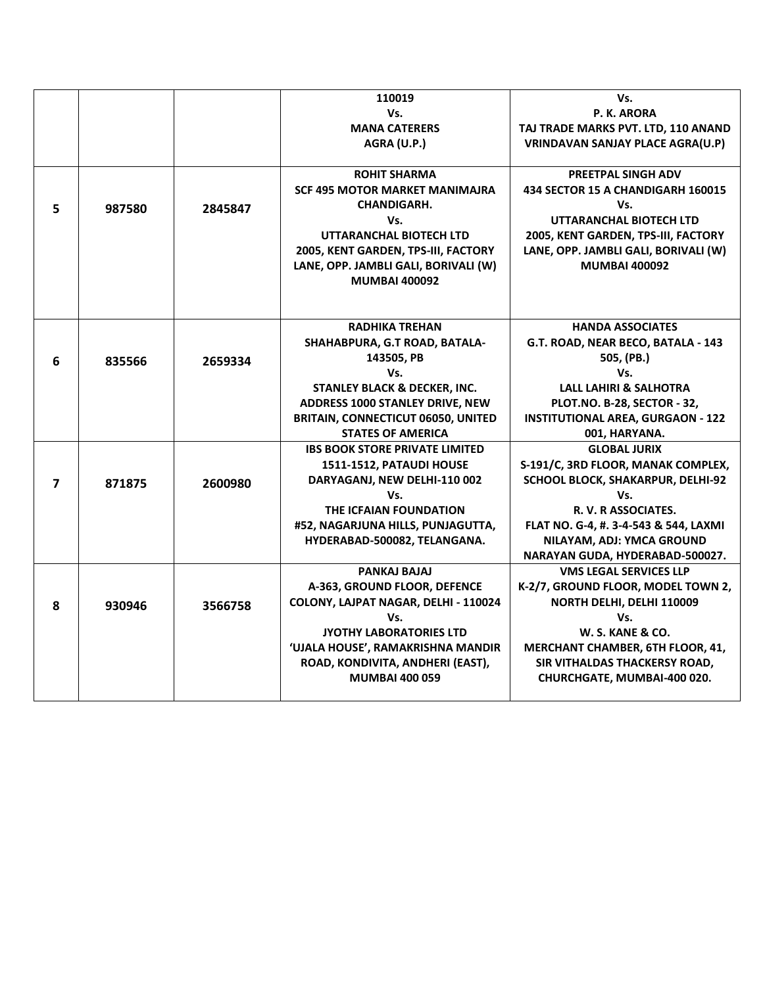|   |        |         | 110019                                    | Vs.                                      |
|---|--------|---------|-------------------------------------------|------------------------------------------|
|   |        |         | Vs.                                       | P. K. ARORA                              |
|   |        |         | <b>MANA CATERERS</b>                      | TAJ TRADE MARKS PVT. LTD, 110 ANAND      |
|   |        |         | AGRA (U.P.)                               | <b>VRINDAVAN SANJAY PLACE AGRA(U.P)</b>  |
|   |        |         |                                           |                                          |
|   |        |         | <b>ROHIT SHARMA</b>                       | PREETPAL SINGH ADV                       |
|   |        |         | <b>SCF 495 MOTOR MARKET MANIMAJRA</b>     | 434 SECTOR 15 A CHANDIGARH 160015        |
| 5 | 987580 | 2845847 | <b>CHANDIGARH.</b>                        | Vs.                                      |
|   |        |         | Vs.                                       | UTTARANCHAL BIOTECH LTD                  |
|   |        |         | UTTARANCHAL BIOTECH LTD                   | 2005, KENT GARDEN, TPS-III, FACTORY      |
|   |        |         | 2005, KENT GARDEN, TPS-III, FACTORY       | LANE, OPP. JAMBLI GALI, BORIVALI (W)     |
|   |        |         | LANE, OPP. JAMBLI GALI, BORIVALI (W)      | <b>MUMBAI 400092</b>                     |
|   |        |         | <b>MUMBAI 400092</b>                      |                                          |
|   |        |         |                                           |                                          |
|   |        |         |                                           |                                          |
|   |        |         | <b>RADHIKA TREHAN</b>                     | <b>HANDA ASSOCIATES</b>                  |
|   |        |         | SHAHABPURA, G.T ROAD, BATALA-             | G.T. ROAD, NEAR BECO, BATALA - 143       |
| 6 | 835566 | 2659334 | 143505, PB                                | 505, (PB.)                               |
|   |        |         | Vs.                                       | Vs.                                      |
|   |        |         | <b>STANLEY BLACK &amp; DECKER, INC.</b>   | <b>LALL LAHIRI &amp; SALHOTRA</b>        |
|   |        |         | ADDRESS 1000 STANLEY DRIVE, NEW           | PLOT.NO. B-28, SECTOR - 32,              |
|   |        |         | <b>BRITAIN, CONNECTICUT 06050, UNITED</b> | <b>INSTITUTIONAL AREA, GURGAON - 122</b> |
|   |        |         | <b>STATES OF AMERICA</b>                  | 001, HARYANA.                            |
|   |        |         | <b>IBS BOOK STORE PRIVATE LIMITED</b>     | <b>GLOBAL JURIX</b>                      |
|   |        |         | 1511-1512, PATAUDI HOUSE                  | S-191/C, 3RD FLOOR, MANAK COMPLEX,       |
| 7 | 871875 | 2600980 | DARYAGANJ, NEW DELHI-110 002              | SCHOOL BLOCK, SHAKARPUR, DELHI-92        |
|   |        |         | Vs.                                       | Vs.                                      |
|   |        |         | THE ICFAIAN FOUNDATION                    | R. V. R ASSOCIATES.                      |
|   |        |         | #52, NAGARJUNA HILLS, PUNJAGUTTA,         | FLAT NO. G-4, #. 3-4-543 & 544, LAXMI    |
|   |        |         | HYDERABAD-500082, TELANGANA.              | NILAYAM, ADJ: YMCA GROUND                |
|   |        |         |                                           | NARAYAN GUDA, HYDERABAD-500027.          |
|   |        |         | PANKAJ BAJAJ                              | <b>VMS LEGAL SERVICES LLP</b>            |
|   |        |         | A-363, GROUND FLOOR, DEFENCE              | K-2/7, GROUND FLOOR, MODEL TOWN 2,       |
| 8 | 930946 | 3566758 | COLONY, LAJPAT NAGAR, DELHI - 110024      | NORTH DELHI, DELHI 110009                |
|   |        |         | Vs.                                       | Vs.                                      |
|   |        |         | JYOTHY LABORATORIES LTD                   | W. S. KANE & CO.                         |
|   |        |         | 'UJALA HOUSE', RAMAKRISHNA MANDIR         | MERCHANT CHAMBER, 6TH FLOOR, 41,         |
|   |        |         | ROAD, KONDIVITA, ANDHERI (EAST),          | SIR VITHALDAS THACKERSY ROAD,            |
|   |        |         | <b>MUMBAI 400 059</b>                     | CHURCHGATE, MUMBAI-400 020.              |
|   |        |         |                                           |                                          |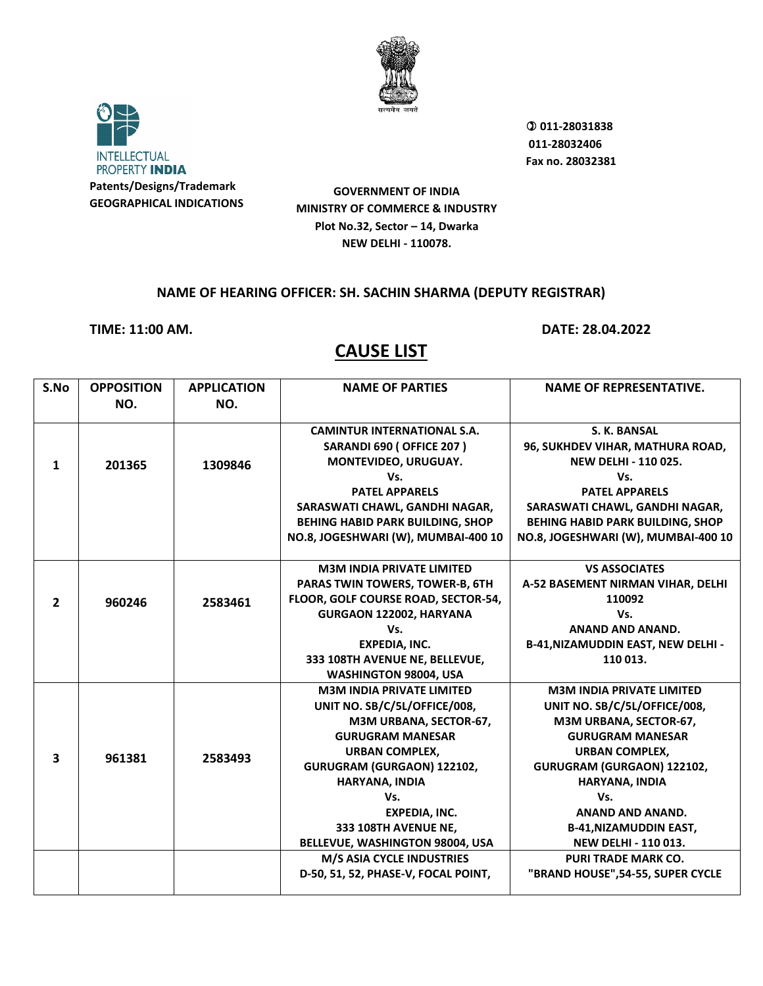



 **011-28031838 011-28032406 Fax no. 28032381**

**GOVERNMENT OF INDIA MINISTRY OF COMMERCE & INDUSTRY Plot No.32, Sector – 14, Dwarka NEW DELHI - 110078.**

#### **NAME OF HEARING OFFICER: SH. SACHIN SHARMA (DEPUTY REGISTRAR)**

**TIME: 11:00 AM. DATE: 28.04.2022**

| S.No                    | <b>OPPOSITION</b> | <b>APPLICATION</b> | <b>NAME OF PARTIES</b>                  | <b>NAME OF REPRESENTATIVE.</b>           |
|-------------------------|-------------------|--------------------|-----------------------------------------|------------------------------------------|
|                         | NO.               | NO.                |                                         |                                          |
|                         |                   |                    |                                         |                                          |
|                         |                   |                    | <b>CAMINTUR INTERNATIONAL S.A.</b>      | S. K. BANSAL                             |
|                         |                   |                    | <b>SARANDI 690 ( OFFICE 207 )</b>       | 96, SUKHDEV VIHAR, MATHURA ROAD,         |
| $\mathbf{1}$            | 201365            | 1309846            | MONTEVIDEO, URUGUAY.                    | <b>NEW DELHI - 110 025.</b>              |
|                         |                   |                    | Vs.                                     | Vs.                                      |
|                         |                   |                    | <b>PATEL APPARELS</b>                   | <b>PATEL APPARELS</b>                    |
|                         |                   |                    | SARASWATI CHAWL, GANDHI NAGAR,          | SARASWATI CHAWL, GANDHI NAGAR,           |
|                         |                   |                    | <b>BEHING HABID PARK BUILDING, SHOP</b> | <b>BEHING HABID PARK BUILDING, SHOP</b>  |
|                         |                   |                    | NO.8, JOGESHWARI (W), MUMBAI-400 10     | NO.8, JOGESHWARI (W), MUMBAI-400 10      |
|                         |                   |                    |                                         |                                          |
|                         |                   |                    | <b>M3M INDIA PRIVATE LIMITED</b>        | <b>VS ASSOCIATES</b>                     |
|                         |                   |                    | <b>PARAS TWIN TOWERS, TOWER-B, 6TH</b>  | A-52 BASEMENT NIRMAN VIHAR, DELHI        |
| $\mathbf{2}$            | 960246            | 2583461            | FLOOR, GOLF COURSE ROAD, SECTOR-54,     | 110092                                   |
|                         |                   |                    | GURGAON 122002, HARYANA                 | Vs.                                      |
|                         |                   |                    | Vs.                                     | <b>ANAND AND ANAND.</b>                  |
|                         |                   |                    | <b>EXPEDIA, INC.</b>                    | <b>B-41, NIZAMUDDIN EAST, NEW DELHI-</b> |
|                         |                   |                    | 333 108TH AVENUE NE, BELLEVUE,          | 110 013.                                 |
|                         |                   |                    | WASHINGTON 98004, USA                   |                                          |
|                         |                   |                    | <b>M3M INDIA PRIVATE LIMITED</b>        | <b>M3M INDIA PRIVATE LIMITED</b>         |
|                         |                   |                    | UNIT NO. SB/C/5L/OFFICE/008,            | UNIT NO. SB/C/5L/OFFICE/008,             |
|                         |                   |                    | M3M URBANA, SECTOR-67,                  | M3M URBANA, SECTOR-67,                   |
|                         |                   |                    | <b>GURUGRAM MANESAR</b>                 | <b>GURUGRAM MANESAR</b>                  |
| $\overline{\mathbf{3}}$ | 961381            | 2583493            | <b>URBAN COMPLEX.</b>                   | <b>URBAN COMPLEX.</b>                    |
|                         |                   |                    | GURUGRAM (GURGAON) 122102,              | GURUGRAM (GURGAON) 122102,               |
|                         |                   |                    | HARYANA, INDIA                          | HARYANA, INDIA                           |
|                         |                   |                    | Vs.                                     | Vs.                                      |
|                         |                   |                    | <b>EXPEDIA, INC.</b>                    | <b>ANAND AND ANAND.</b>                  |
|                         |                   |                    | 333 108TH AVENUE NE,                    | <b>B-41, NIZAMUDDIN EAST,</b>            |
|                         |                   |                    | BELLEVUE, WASHINGTON 98004, USA         | <b>NEW DELHI - 110 013.</b>              |
|                         |                   |                    | M/S ASIA CYCLE INDUSTRIES               | <b>PURI TRADE MARK CO.</b>               |
|                         |                   |                    | D-50, 51, 52, PHASE-V, FOCAL POINT,     | "BRAND HOUSE", 54-55, SUPER CYCLE        |
|                         |                   |                    |                                         |                                          |